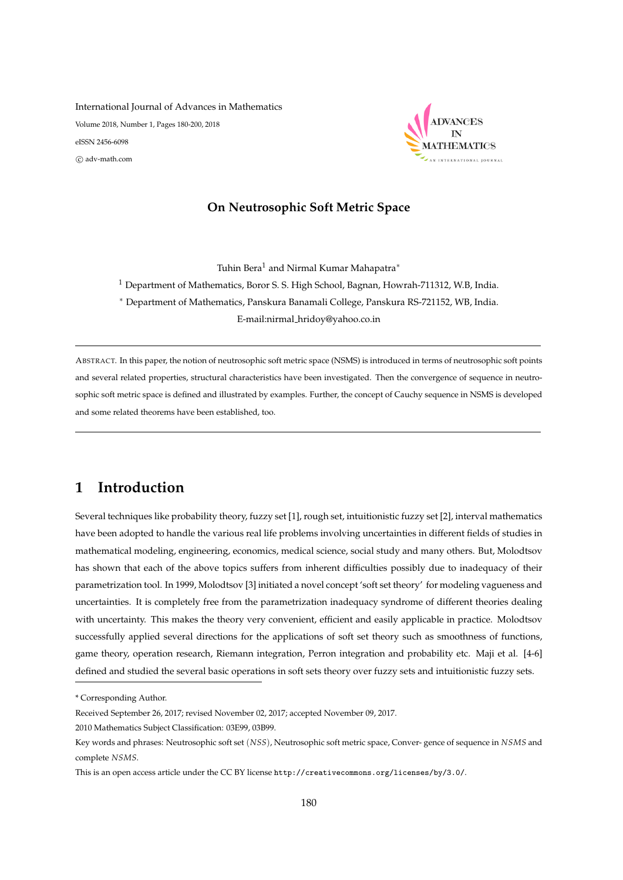International Journal of Advances in Mathematics Volume 2018, Number 1, Pages 180-200, 2018 eISSN 2456-6098 c adv-math.com



## **On Neutrosophic Soft Metric Space**

Tuhin Bera<sup>1</sup> and Nirmal Kumar Mahapatra<sup>\*</sup>

<sup>1</sup> Department of Mathematics, Boror S. S. High School, Bagnan, Howrah-711312, W.B, India.

<sup>∗</sup> Department of Mathematics, Panskura Banamali College, Panskura RS-721152, WB, India.

E-mail:nirmal hridoy@yahoo.co.in

ABSTRACT. In this paper, the notion of neutrosophic soft metric space (NSMS) is introduced in terms of neutrosophic soft points and several related properties, structural characteristics have been investigated. Then the convergence of sequence in neutrosophic soft metric space is defined and illustrated by examples. Further, the concept of Cauchy sequence in NSMS is developed and some related theorems have been established, too.

# **1 Introduction**

Several techniques like probability theory, fuzzy set [1], rough set, intuitionistic fuzzy set [2], interval mathematics have been adopted to handle the various real life problems involving uncertainties in different fields of studies in mathematical modeling, engineering, economics, medical science, social study and many others. But, Molodtsov has shown that each of the above topics suffers from inherent difficulties possibly due to inadequacy of their parametrization tool. In 1999, Molodtsov [3] initiated a novel concept 'soft set theory' for modeling vagueness and uncertainties. It is completely free from the parametrization inadequacy syndrome of different theories dealing with uncertainty. This makes the theory very convenient, efficient and easily applicable in practice. Molodtsov successfully applied several directions for the applications of soft set theory such as smoothness of functions, game theory, operation research, Riemann integration, Perron integration and probability etc. Maji et al. [4-6] defined and studied the several basic operations in soft sets theory over fuzzy sets and intuitionistic fuzzy sets.

<sup>\*</sup> Corresponding Author.

Received September 26, 2017; revised November 02, 2017; accepted November 09, 2017.

<sup>2010</sup> Mathematics Subject Classification: 03E99, 03B99.

Key words and phrases: Neutrosophic soft set (*NSS*), Neutrosophic soft metric space, Conver- gence of sequence in *NSMS* and complete *NSMS*.

This is an open access article under the CC BY license http://creativecommons.org/licenses/by/3.0/.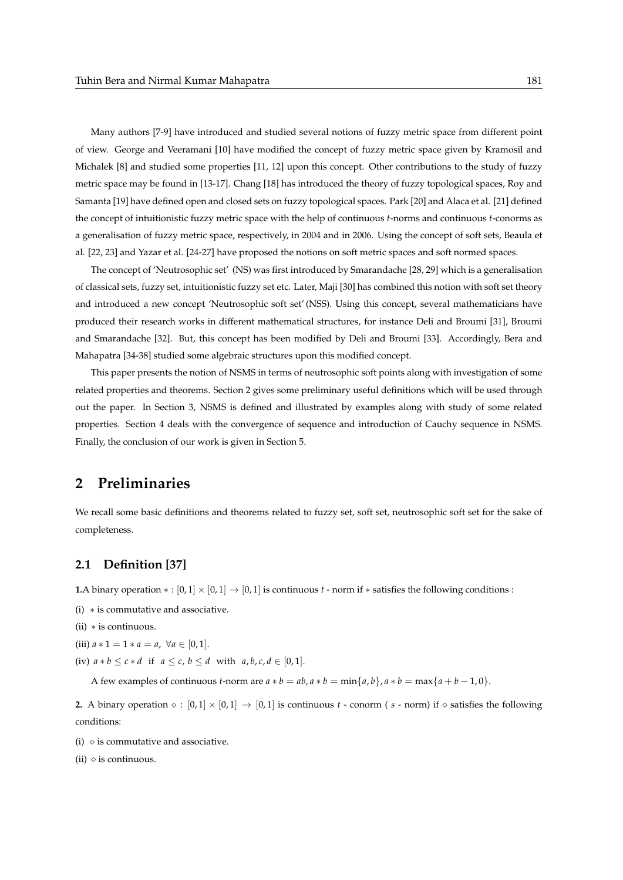Many authors [7-9] have introduced and studied several notions of fuzzy metric space from different point of view. George and Veeramani [10] have modified the concept of fuzzy metric space given by Kramosil and Michalek [8] and studied some properties [11, 12] upon this concept. Other contributions to the study of fuzzy metric space may be found in [13-17]. Chang [18] has introduced the theory of fuzzy topological spaces, Roy and Samanta [19] have defined open and closed sets on fuzzy topological spaces. Park [20] and Alaca et al. [21] defined the concept of intuitionistic fuzzy metric space with the help of continuous *t*-norms and continuous *t*-conorms as a generalisation of fuzzy metric space, respectively, in 2004 and in 2006. Using the concept of soft sets, Beaula et al. [22, 23] and Yazar et al. [24-27] have proposed the notions on soft metric spaces and soft normed spaces.

The concept of 'Neutrosophic set' (NS) was first introduced by Smarandache [28, 29] which is a generalisation of classical sets, fuzzy set, intuitionistic fuzzy set etc. Later, Maji [30] has combined this notion with soft set theory and introduced a new concept 'Neutrosophic soft set' (NSS). Using this concept, several mathematicians have produced their research works in different mathematical structures, for instance Deli and Broumi [31], Broumi and Smarandache [32]. But, this concept has been modified by Deli and Broumi [33]. Accordingly, Bera and Mahapatra [34-38] studied some algebraic structures upon this modified concept.

This paper presents the notion of NSMS in terms of neutrosophic soft points along with investigation of some related properties and theorems. Section 2 gives some preliminary useful definitions which will be used through out the paper. In Section 3, NSMS is defined and illustrated by examples along with study of some related properties. Section 4 deals with the convergence of sequence and introduction of Cauchy sequence in NSMS. Finally, the conclusion of our work is given in Section 5.

# **2 Preliminaries**

We recall some basic definitions and theorems related to fuzzy set, soft set, neutrosophic soft set for the sake of completeness.

# **2.1 Definition [37]**

**1.**A binary operation  $* : [0, 1] \times [0, 1] \rightarrow [0, 1]$  is continuous *t* - norm if  $*$  satisfies the following conditions :

- (i) ∗ is commutative and associative.
- (ii) ∗ is continuous.
- (iii)  $a * 1 = 1 * a = a$ ,  $\forall a \in [0, 1].$
- (iv)  $a * b \leq c * d$  if  $a \leq c$ ,  $b \leq d$  with  $a, b, c, d \in [0, 1]$ .

A few examples of continuous *t*-norm are  $a * b = ab$ ,  $a * b = min{a, b}$ ,  $a * b = max{a + b - 1, 0}$ .

**2.** A binary operation  $\diamond$  :  $[0,1] \times [0,1] \rightarrow [0,1]$  is continuous *t* - conorm (*s* - norm) if  $\diamond$  satisfies the following conditions:

- (i)  $\diamond$  is commutative and associative.
- (ii)  $\diamond$  is continuous.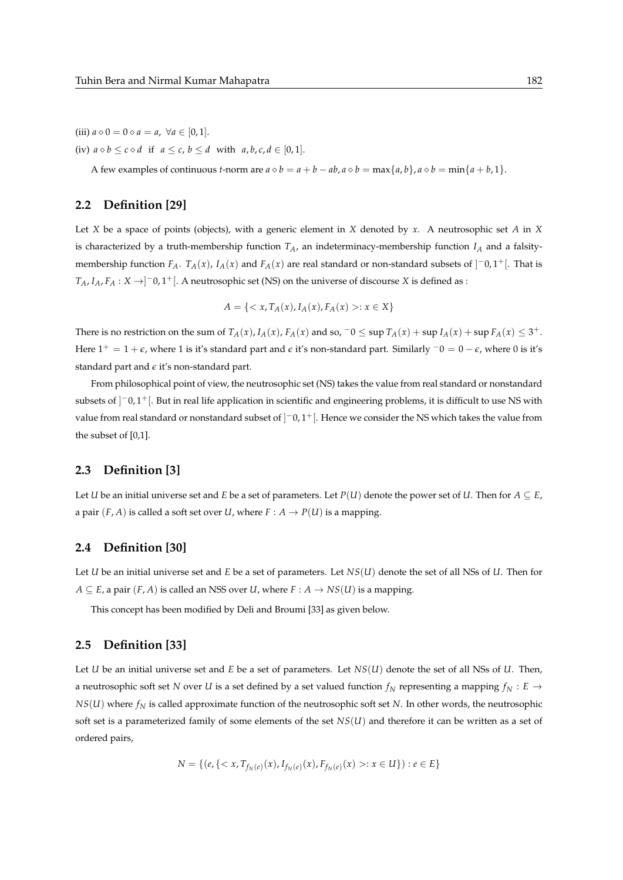(iii)  $a \diamond 0 = 0 \diamond a = a$ ,  $\forall a \in [0, 1].$ 

(iv)  $a \diamond b \leq c \diamond d$  if  $a \leq c$ ,  $b \leq d$  with  $a, b, c, d \in [0, 1]$ .

A few examples of continuous *t*-norm are  $a \diamond b = a + b - ab$ ,  $a \diamond b = \max\{a, b\}$ ,  $a \diamond b = \min\{a + b, 1\}$ .

## **2.2 Definition [29]**

Let *X* be a space of points (objects), with a generic element in *X* denoted by *x*. A neutrosophic set *A* in *X* is characterized by a truth-membership function  $T_A$ , an indeterminacy-membership function  $I_A$  and a falsitymembership function  $F_A$ .  $T_A(x)$ ,  $I_A(x)$  and  $F_A(x)$  are real standard or non-standard subsets of  $]$ <sup>-</sup>0,1<sup>+</sup>[. That is  $T_A$ ,  $I_A$ ,  $F_A: X \rightarrow ]$  – 0, 1<sup>+</sup>[. A neutrosophic set (NS) on the universe of discourse *X* is defined as :

$$
A = \{ \langle x, T_A(x), I_A(x), F_A(x) \rangle : x \in X \}
$$

There is no restriction on the sum of  $T_A(x)$ ,  $I_A(x)$ ,  $F_A(x)$  and so,  $\bar{0} \leq \sup T_A(x) + \sup T_A(x) + \sup F_A(x) \leq 3^+$ . Here 1<sup>+</sup> = 1 + *e*, where 1 is it's standard part and *e* it's non-standard part. Similarly <sup>−</sup>0 = 0 − *e*, where 0 is it's standard part and *e* it's non-standard part.

From philosophical point of view, the neutrosophic set (NS) takes the value from real standard or nonstandard subsets of ]<sup>-</sup>0,1<sup>+</sup>[. But in real life application in scientific and engineering problems, it is difficult to use NS with value from real standard or nonstandard subset of  $]$ <sup>-</sup>0,1<sup>+</sup>[. Hence we consider the NS which takes the value from the subset of [0,1].

#### **2.3 Definition [3]**

Let *U* be an initial universe set and *E* be a set of parameters. Let  $P(U)$  denote the power set of *U*. Then for  $A \subseteq E$ , a pair  $(F, A)$  is called a soft set over *U*, where  $F: A \rightarrow P(U)$  is a mapping.

# **2.4 Definition [30]**

Let *U* be an initial universe set and *E* be a set of parameters. Let *NS*(*U*) denote the set of all NSs of *U*. Then for *A* ⊂ *E*, a pair  $(F, A)$  is called an NSS over *U*, where  $F : A → NS(U)$  is a mapping.

This concept has been modified by Deli and Broumi [33] as given below.

## **2.5 Definition [33]**

Let *U* be an initial universe set and *E* be a set of parameters. Let *NS*(*U*) denote the set of all NSs of *U*. Then, a neutrosophic soft set *N* over *U* is a set defined by a set valued function  $f_N$  representing a mapping  $f_N : E \rightarrow$ *NS*(*U*) where *f<sup>N</sup>* is called approximate function of the neutrosophic soft set *N*. In other words, the neutrosophic soft set is a parameterized family of some elements of the set *NS*(*U*) and therefore it can be written as a set of ordered pairs,

$$
N = \{ (e, \{ : x \in U \}) : e \in E \}
$$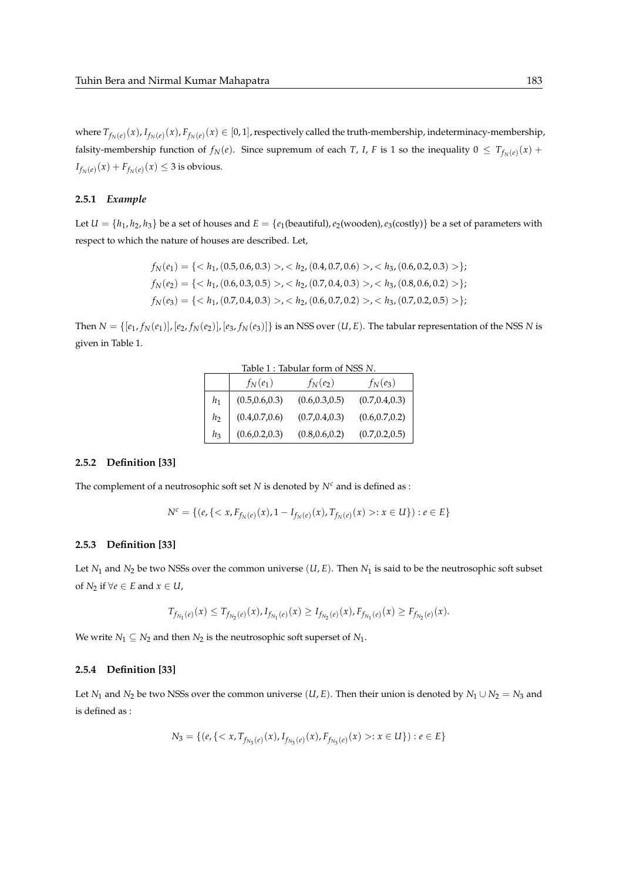where  $T_{f_N(e)}(x)$ ,  $I_{f_N(e)}(x)$ ,  $F_{f_N(e)}(x) \in [0,1]$ , respectively called the truth-membership, indeterminacy-membership, falsity-membership function of  $f_N(e)$ . Since supremum of each *T*, *I*, *F* is 1 so the inequality  $0 \le T_{f_N(e)}(x)$  +  $I_{f_N(e)}(x) + F_{f_N(e)}(x) \leq 3$  is obvious.

#### **2.5.1** *Example*

Let  $U = \{h_1, h_2, h_3\}$  be a set of houses and  $E = \{e_1$ (beautiful),  $e_2$ (wooden),  $e_3$ (costly)} be a set of parameters with respect to which the nature of houses are described. Let,

$$
f_N(e_1) = \{< h_1, (0.5, 0.6, 0.3) > , < h_2, (0.4, 0.7, 0.6) > , < h_3, (0.6, 0.2, 0.3) > \};
$$
\n
$$
f_N(e_2) = \{< h_1, (0.6, 0.3, 0.5) > , < h_2, (0.7, 0.4, 0.3) > , < h_3, (0.8, 0.6, 0.2) > \};
$$
\n
$$
f_N(e_3) = \{< h_1, (0.7, 0.4, 0.3) > , < h_2, (0.6, 0.7, 0.2) > , < h_3, (0.7, 0.2, 0.5) > \};
$$

Then  $N = \{[e_1, f_N(e_1)], [e_2, f_N(e_2)], [e_3, f_N(e_3)]\}$  is an NSS over  $(U, E)$ . The tabular representation of the NSS N is given in Table 1.

|       | $f_N(e_1)$      | Table 1 : Tabular form of NSS N.<br>$f_N(e_2)$ | $f_N(e_3)$      |
|-------|-----------------|------------------------------------------------|-----------------|
| $h_1$ | (0.5, 0.6, 0.3) | (0.6, 0.3, 0.5)                                | (0.7, 0.4, 0.3) |
| h     | (0.4, 0.7, 0.6) | (0.7, 0.4, 0.3)                                | (0.6, 0.7, 0.2) |
| $h_3$ | (0.6, 0.2, 0.3) | (0.8, 0.6, 0.2)                                | (0.7, 0.2, 0.5) |

#### **2.5.2 Definition [33]**

The complement of a neutrosophic soft set  $N$  is denoted by  $N^c$  and is defined as :

$$
N^c = \{ (e, \{ < x, F_{f_N(e)}(x), 1 - I_{f_N(e)}(x), T_{f_N(e)}(x) > : x \in U \}) : e \in E \}
$$

#### **2.5.3 Definition [33]**

Let *N*<sup>1</sup> and *N*<sup>2</sup> be two NSSs over the common universe (*U*, *E*). Then *N*<sup>1</sup> is said to be the neutrosophic soft subset of *N*<sub>2</sub> if  $\forall e \in E$  and  $x \in U$ ,

$$
T_{f_{N_1}(e)}(x) \leq T_{f_{N_2}(e)}(x), I_{f_{N_1}(e)}(x) \geq I_{f_{N_2}(e)}(x), F_{f_{N_1}(e)}(x) \geq F_{f_{N_2}(e)}(x).
$$

We write  $N_1 \subseteq N_2$  and then  $N_2$  is the neutrosophic soft superset of  $N_1$ .

#### **2.5.4 Definition [33]**

Let *N*<sub>1</sub> and *N*<sub>2</sub> be two NSSs over the common universe (*U*, *E*). Then their union is denoted by  $N_1 \cup N_2 = N_3$  and is defined as :

$$
N_3 = \{ (e, \{ : x \in U \}) : e \in E \}
$$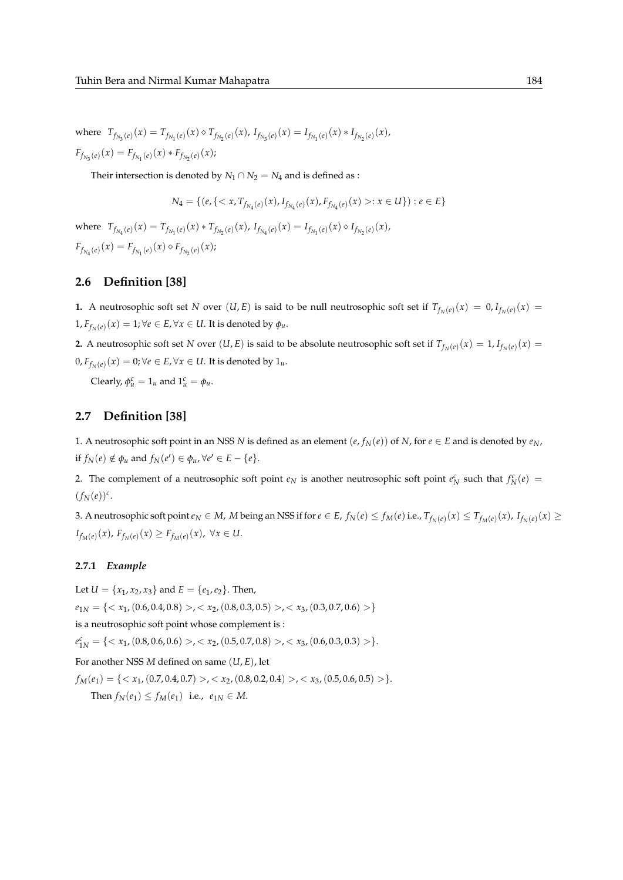where  $T_{f_{N_3}(e)}(x) = T_{f_{N_1}(e)}(x) \diamond T_{f_{N_2}(e)}(x)$ ,  $I_{f_{N_3}(e)}(x) = I_{f_{N_1}(e)}(x) * I_{f_{N_2}(e)}(x)$ ,  $F_{f_{N_3}(e)}(x) = F_{f_{N_1}(e)}(x) * F_{f_{N_2}(e)}(x);$ 

Their intersection is denoted by  $N_1 \cap N_2 = N_4$  and is defined as :

$$
N_4 = \{ (e, \{ : x \in U \}) : e \in E \}
$$

where  $T_{f_{N_1}(e)}(x) = T_{f_{N_1}(e)}(x) * T_{f_{N_2}(e)}(x)$ ,  $I_{f_{N_4}(e)}(x) = I_{f_{N_1}(e)}(x) \diamond I_{f_{N_2}(e)}(x)$ ,  $F_{f_{N_1}(e)}(x) = F_{f_{N_1}(e)}(x) \diamond F_{f_{N_2}(e)}(x);$ 

# **2.6 Definition [38]**

**1.** A neutrosophic soft set *N* over  $(U, E)$  is said to be null neutrosophic soft set if  $T_{f_N(e)}(x) = 0, I_{f_N(e)}(x) = 0$  $1, F_{f_N(e)}(x) = 1; \forall e \in E, \forall x \in U$ . It is denoted by  $\phi_u$ .

**2.** A neutrosophic soft set *N* over  $(U, E)$  is said to be absolute neutrosophic soft set if  $T_{f_N(e)}(x) = 1$ ,  $I_{f_N(e)}(x) = 1$  $0, F_{f_N(e)}(x) = 0; \forall e \in E, \forall x \in U.$  It is denoted by  $1_u$ .

Clearly,  $\phi_u^c = 1_u$  and  $1_u^c = \phi_u$ .

# **2.7 Definition [38]**

1. A neutrosophic soft point in an NSS *N* is defined as an element  $(e, f_N(e))$  of *N*, for  $e \in E$  and is denoted by  $e_N$ , if  $f_N(e) \notin \phi_u$  and  $f_N(e') \in \phi_u$ ,  $\forall e' \in E - \{e\}.$ 

2. The complement of a neutrosophic soft point  $e_N$  is another neutrosophic soft point  $e_N^c$  such that  $f_N^c(e)$  =  $(f_N(e))^c$ .

3. A neutrosophic soft point  $e_N\in M$ , M being an NSS if for  $e\in E$ ,  $f_N(e)\le f_M(e)$  i.e.,  $T_{f_N(e)}(x)\le T_{f_M(e)}(x)$ ,  $I_{f_N(e)}(x)\ge T_{f_M(e)}(x)$ *I*<sub>*fM*</sub>(*e*)</sub>(*x*), *F*<sub>*f<sub><i>N*</sub>(*e*)</sub>(*x*) ≥ *F*<sub>*f<sub><i>M*</sub>(*e*)(*x*), ∀*x* ∈ *U*.</sub>

#### **2.7.1** *Example*

Let  $U = \{x_1, x_2, x_3\}$  and  $E = \{e_1, e_2\}$ . Then,  $e_{1N} = \{ \langle x_1, (0.6, 0.4, 0.8) \rangle, \langle x_2, (0.8, 0.3, 0.5) \rangle, \langle x_3, (0.3, 0.7, 0.6) \rangle \}$ is a neutrosophic soft point whose complement is :  $e_{1N}^c = \{ \langle x_1, (0.8, 0.6, 0.6) \rangle, \langle x_2, (0.5, 0.7, 0.8) \rangle, \langle x_3, (0.6, 0.3, 0.3) \rangle \}.$ For another NSS *M* defined on same (*U*, *E*), let  $f_M(e_1) = \{ \langle x_1, (0.7, 0.4, 0.7) \rangle, \langle x_2, (0.8, 0.2, 0.4) \rangle, \langle x_3, (0.5, 0.6, 0.5) \rangle \}.$ Then  $f_N(e_1) \le f_M(e_1)$  i.e.,  $e_{1N} \in M$ .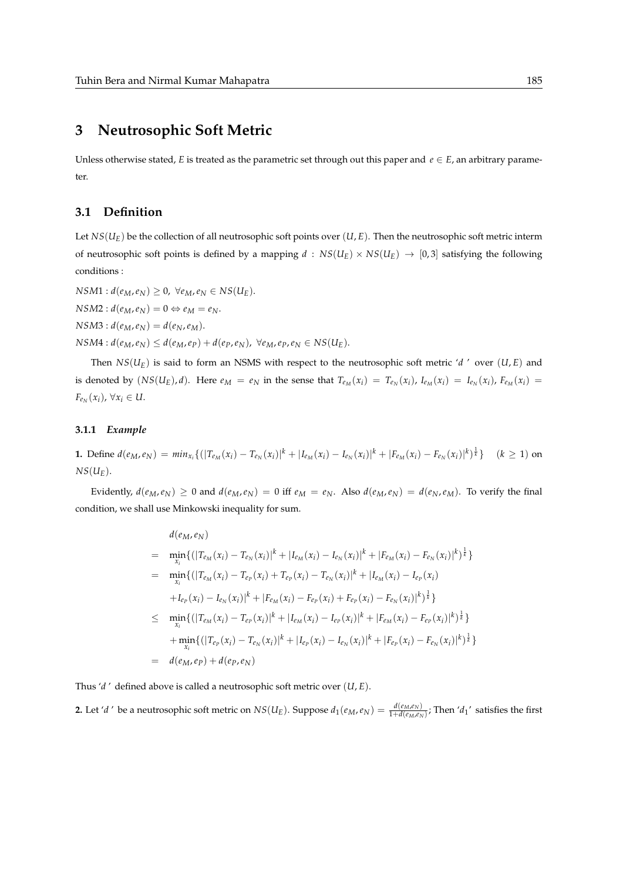# **3 Neutrosophic Soft Metric**

Unless otherwise stated, *E* is treated as the parametric set through out this paper and  $e \in E$ , an arbitrary parameter.

# **3.1 Definition**

Let  $NS(U_F)$  be the collection of all neutrosophic soft points over  $(U, E)$ . Then the neutrosophic soft metric interm of neutrosophic soft points is defined by a mapping  $d : NS(U_E) \times NS(U_E) \rightarrow [0, 3]$  satisfying the following conditions :

 $NSM1: d(e_M, e_N) \geq 0, \ \forall e_M, e_N \in NS(U_E).$  $NSM2: d(e_M, e_N) = 0 \Leftrightarrow e_M = e_N.$  $NSM3: d(e_M, e_N) = d(e_N, e_M).$  $NSM4: d(e_M, e_N) \leq d(e_M, e_P) + d(e_P, e_N)$ ,  $\forall e_M, e_P, e_N \in NS(U_F)$ .

Then  $NS(U_F)$  is said to form an NSMS with respect to the neutrosophic soft metric '*d*' over  $(U, E)$  and is denoted by  $(NS(U_E), d)$ . Here  $e_M = e_N$  in the sense that  $T_{e_M}(x_i) = T_{e_N}(x_i)$ ,  $I_{e_M}(x_i) = I_{e_N}(x_i)$ ,  $F_{e_M}(x_i) =$  $F_{e_N}(x_i)$ ,  $\forall x_i \in U$ .

#### **3.1.1** *Example*

**1.** Define  $d(e_M, e_N) = min_{x_i} \{ (|T_{e_M}(x_i) - T_{e_N}(x_i)|^k + |I_{e_M}(x_i) - I_{e_N}(x_i)|^k + |F_{e_M}(x_i) - F_{e_N}(x_i)|^k) \}$   $(k \ge 1)$  on  $NS(U_E)$ .

Evidently,  $d(e_M, e_N) \ge 0$  and  $d(e_M, e_N) = 0$  iff  $e_M = e_N$ . Also  $d(e_M, e_N) = d(e_N, e_M)$ . To verify the final condition, we shall use Minkowski inequality for sum.

$$
d(e_M, e_N)
$$
\n
$$
= \min_{x_i} \{ (|T_{e_M}(x_i) - T_{e_N}(x_i)|^k + |I_{e_M}(x_i) - I_{e_N}(x_i)|^k + |F_{e_M}(x_i) - F_{e_N}(x_i)|^k) \} \}
$$
\n
$$
= \min_{x_i} \{ (|T_{e_M}(x_i) - T_{e_P}(x_i) + T_{e_P}(x_i) - T_{e_N}(x_i)|^k + |I_{e_M}(x_i) - I_{e_P}(x_i) + I_{e_P}(x_i) - I_{e_P}(x_i) - I_{e_N}(x_i)|^k \} \}
$$
\n
$$
\leq \min_{x_i} \{ (|T_{e_M}(x_i) - T_{e_P}(x_i)|^k + |I_{e_M}(x_i) - I_{e_P}(x_i)|^k + |F_{e_M}(x_i) - F_{e_P}(x_i)|^k \} \}
$$
\n
$$
+ \min_{x_i} \{ (|T_{e_P}(x_i) - T_{e_N}(x_i)|^k + |I_{e_P}(x_i) - I_{e_N}(x_i)|^k + |F_{e_P}(x_i) - F_{e_N}(x_i)|^k \} \}
$$
\n
$$
= d(e_M, e_P) + d(e_P, e_N)
$$

Thus '*d* ' defined above is called a neutrosophic soft metric over (*U*, *E*).

**2.** Let 'd' be a neutrosophic soft metric on  $NS(U_E)$ . Suppose  $d_1(e_M, e_N) = \frac{d(e_M, e_N)}{1 + d(e_M, e_N)}$ ; Then 'd<sub>1</sub>' satisfies the first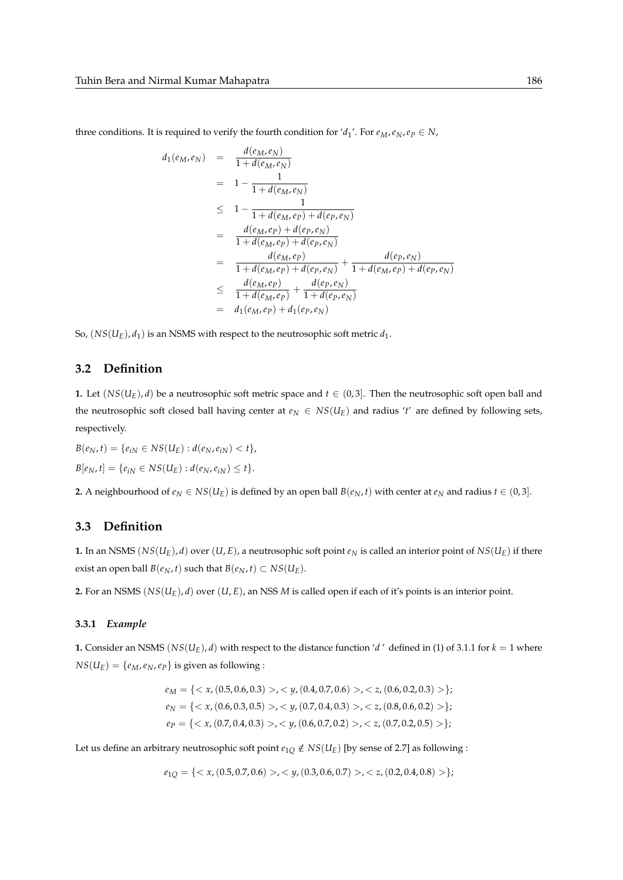three conditions. It is required to verify the fourth condition for ' $d_1$ '. For  $e_M$ ,  $e_N$ ,  $e_P \in N$ ,

$$
d_1(e_M, e_N) = \frac{d(e_M, e_N)}{1 + d(e_M, e_N)}
$$
  
=  $1 - \frac{1}{1 + d(e_M, e_N)}$   

$$
\leq 1 - \frac{1}{1 + d(e_M, e_P) + d(e_P, e_N)}
$$
  
=  $\frac{d(e_M, e_P) + d(e_P, e_N)}{1 + d(e_M, e_P) + d(e_P, e_N)}$   
=  $\frac{d(e_M, e_P)}{1 + d(e_M, e_P) + d(e_P, e_N)} + \frac{d(e_P, e_N)}{1 + d(e_M, e_P) + d(e_P, e_N)}$   
=  $\frac{d(e_M, e_P)}{1 + d(e_M, e_P)} + \frac{d(e_P, e_N)}{1 + d(e_P, e_N)}$   
=  $d_1(e_M, e_P) + d_1(e_P, e_N)$ 

So,  $(NS(U_E), d_1)$  is an NSMS with respect to the neutrosophic soft metric  $d_1$ .

# **3.2 Definition**

**1.** Let  $(NS(U_E), d)$  be a neutrosophic soft metric space and  $t \in (0, 3]$ . Then the neutrosophic soft open ball and the neutrosophic soft closed ball having center at  $e_N \in NS(U_E)$  and radius '*t'* are defined by following sets, respectively.

 $B(e_N, t) = \{e_{iN} \in NS(U_F) : d(e_N, e_{iN}) < t\},\$  $B[e_N, t] = \{e_{iN} \in NS(U_E) : d(e_N, e_{iN}) \le t\}.$ 

**2.** A neighbourhood of  $e_N$  ∈  $NS(U_E)$  is defined by an open ball  $B(e_N, t)$  with center at  $e_N$  and radius  $t \in (0, 3]$ .

# **3.3 Definition**

**1.** In an NSMS ( $NS(U_E)$ , *d*) over (*U*, *E*), a neutrosophic soft point  $e_N$  is called an interior point of  $NS(U_E)$  if there exist an open ball *B*( $e_N$ , *t*) such that *B*( $e_N$ , *t*) ⊂ *NS*( $U_E$ ).

**2.** For an NSMS  $(NS(U_E), d)$  over  $(U, E)$ , an NSS *M* is called open if each of it's points is an interior point.

#### **3.3.1** *Example*

**1.** Consider an NSMS ( $NS(U<sub>E</sub>)$ , *d*) with respect to the distance function '*d*' defined in (1) of 3.1.1 for  $k = 1$  where  $NS(U_E) = \{e_M, e_N, e_P\}$  is given as following :

$$
e_M = \{< x, (0.5, 0.6, 0.3) >, < y, (0.4, 0.7, 0.6) >, < z, (0.6, 0.2, 0.3) > \};
$$
\n
$$
e_N = \{< x, (0.6, 0.3, 0.5) >, < y, (0.7, 0.4, 0.3) >, < z, (0.8, 0.6, 0.2) > \};
$$
\n
$$
e_P = \{< x, (0.7, 0.4, 0.3) >, < y, (0.6, 0.7, 0.2) >, < z, (0.7, 0.2, 0.5) > \};
$$

Let us define an arbitrary neutrosophic soft point  $e_{10} \notin NS(U_E)$  [by sense of 2.7] as following :

$$
e_{1Q} = \{ \langle x, (0.5, 0.7, 0.6) \rangle, \langle y, (0.3, 0.6, 0.7) \rangle, \langle z, (0.2, 0.4, 0.8) \rangle \};
$$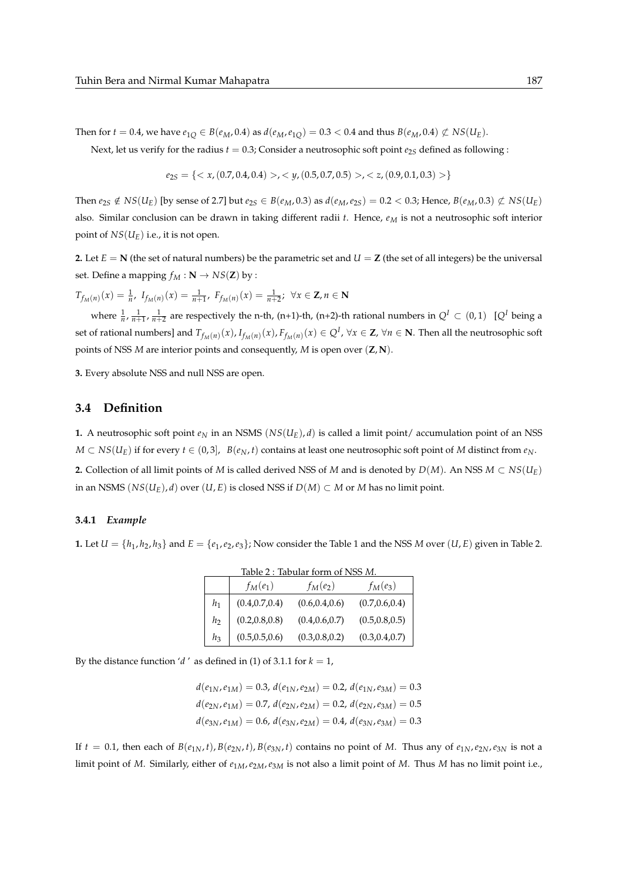Then for  $t = 0.4$ , we have  $e_{1Q} \in B(e_M, 0.4)$  as  $d(e_M, e_{1Q}) = 0.3 < 0.4$  and thus  $B(e_M, 0.4) \not\subset NS(U_E)$ .

Next, let us verify for the radius  $t = 0.3$ ; Consider a neutrosophic soft point  $e_{2S}$  defined as following :

$$
e_{2S} = \{ \langle x, (0.7, 0.4, 0.4) \rangle, \langle y, (0.5, 0.7, 0.5) \rangle, \langle z, (0.9, 0.1, 0.3) \rangle \}
$$

Then  $e_{2S} \notin NS(U_E)$  [by sense of 2.7] but  $e_{2S} \in B(e_M, 0.3)$  as  $d(e_M, e_{2S}) = 0.2 < 0.3$ ; Hence,  $B(e_M, 0.3) \not\subset NS(U_E)$ also. Similar conclusion can be drawn in taking different radii *t*. Hence, *e<sup>M</sup>* is not a neutrosophic soft interior point of  $NS(U_F)$  i.e., it is not open.

**2.** Let  $E = N$  (the set of natural numbers) be the parametric set and  $U = Z$  (the set of all integers) be the universal set. Define a mapping  $f_M : \mathbf{N} \to NS(\mathbf{Z})$  by :

 $T_{f_M(n)}(x) = \frac{1}{n}$ ,  $I_{f_M(n)}(x) = \frac{1}{n+1}$ ,  $F_{f_M(n)}(x) = \frac{1}{n+2}$ ;  $\forall x \in \mathbb{Z}, n \in \mathbb{N}$ 

where  $\frac{1}{n}$ ,  $\frac{1}{n+1}$ ,  $\frac{1}{n+2}$  are respectively the n-th, (n+1)-th, (n+2)-th rational numbers in  $Q^I \subset (0,1)$   $[Q^I$  being a set of rational numbers] and  $T_{f_M(n)}(x)$ ,  $I_{f_M(n)}(x)$ ,  $F_{f_M(n)}(x) \in Q^I$ ,  $\forall x \in \mathbb{Z}$ ,  $\forall n \in \mathbb{N}$ . Then all the neutrosophic soft points of NSS *M* are interior points and consequently, *M* is open over (**Z**, **N**).

**3.** Every absolute NSS and null NSS are open.

## **3.4 Definition**

**1.** A neutrosophic soft point  $e_N$  in an NSMS ( $NS(U_E)$ , *d*) is called a limit point/ accumulation point of an NSS *M* ⊂ *NS*(*U<sub>E</sub>*) if for every *t* ∈ (0,3), *B*(*e<sub>N</sub>*, *t*) contains at least one neutrosophic soft point of *M* distinct from *e<sub>N</sub>*. **2.** Collection of all limit points of *M* is called derived NSS of *M* and is denoted by *D*(*M*). An NSS *M* ⊂ *NS*(*U<sub>E</sub>*) in an NSMS ( $NS(U_F)$ , *d*) over (*U*, *E*) is closed NSS if  $D(M) ⊂ M$  or *M* has no limit point.

### **3.4.1** *Example*

**1.** Let  $U = \{h_1, h_2, h_3\}$  and  $E = \{e_1, e_2, e_3\}$ ; Now consider the Table 1 and the NSS *M* over  $(U, E)$  given in Table 2.

| Table 2: Tabular form of NSS M. |                 |                 |                 |  |
|---------------------------------|-----------------|-----------------|-----------------|--|
|                                 | $f_M(e_1)$      | $f_M(e_2)$      | $f_M(e_3)$      |  |
| $h_1$                           | (0.4, 0.7, 0.4) | (0.6, 0.4, 0.6) | (0.7, 0.6, 0.4) |  |
| h <sub>2</sub>                  | (0.2, 0.8, 0.8) | (0.4, 0.6, 0.7) | (0.5, 0.8, 0.5) |  |
| $h_3$                           | (0.5, 0.5, 0.6) | (0.3, 0.8, 0.2) | (0.3, 0.4, 0.7) |  |

By the distance function '*d*' as defined in (1) of 3.1.1 for  $k = 1$ ,

 $d(e_{1N}, e_{1M}) = 0.3$ ,  $d(e_{1N}, e_{2M}) = 0.2$ ,  $d(e_{1N}, e_{3M}) = 0.3$  $d(e_{2N}, e_{1M}) = 0.7$ ,  $d(e_{2N}, e_{2M}) = 0.2$ ,  $d(e_{2N}, e_{3M}) = 0.5$  $d(e_{3N}, e_{1M}) = 0.6$ ,  $d(e_{3N}, e_{2M}) = 0.4$ ,  $d(e_{3N}, e_{3M}) = 0.3$ 

If  $t = 0.1$ , then each of  $B(e_{1N}, t)$ ,  $B(e_{2N}, t)$ ,  $B(e_{3N}, t)$  contains no point of M. Thus any of  $e_{1N}, e_{2N}, e_{3N}$  is not a limit point of *M*. Similarly, either of *e*1*M*,*e*2*M*,*e*3*<sup>M</sup>* is not also a limit point of *M*. Thus *M* has no limit point i.e.,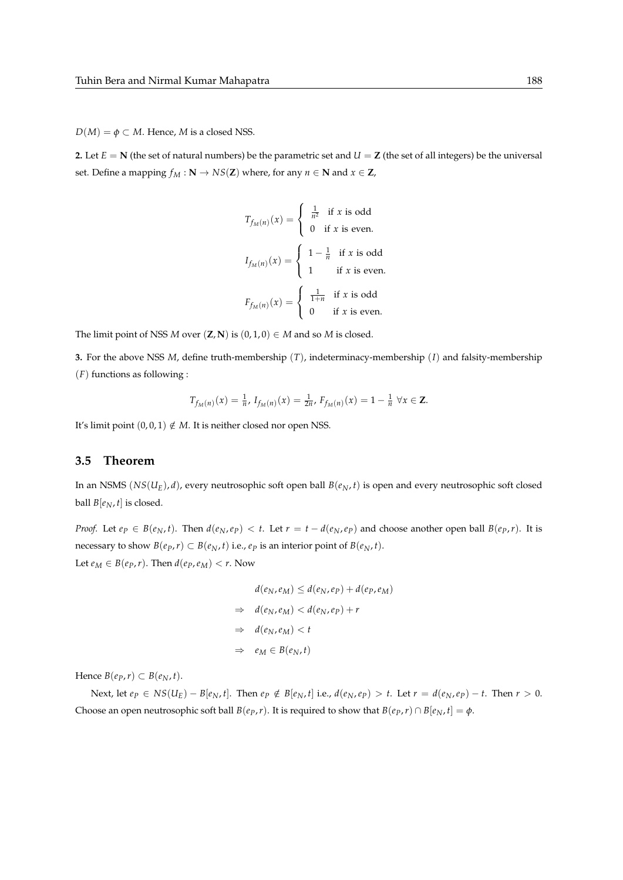$D(M) = \phi \subset M$ . Hence, *M* is a closed NSS.

**2.** Let  $E = N$  (the set of natural numbers) be the parametric set and  $U = Z$  (the set of all integers) be the universal set. Define a mapping  $f_M : \mathbb{N} \to NS(\mathbb{Z})$  where, for any  $n \in \mathbb{N}$  and  $x \in \mathbb{Z}$ ,

$$
T_{f_M(n)}(x) = \begin{cases} \frac{1}{n^2} & \text{if } x \text{ is odd} \\ 0 & \text{if } x \text{ is even.} \end{cases}
$$

$$
I_{f_M(n)}(x) = \begin{cases} 1 - \frac{1}{n} & \text{if } x \text{ is odd} \\ 1 & \text{if } x \text{ is even.} \end{cases}
$$

$$
F_{f_M(n)}(x) = \begin{cases} \frac{1}{1+n} & \text{if } x \text{ is odd} \\ 0 & \text{if } x \text{ is even.} \end{cases}
$$

The limit point of NSS *M* over  $(Z, N)$  is  $(0, 1, 0) \in M$  and so *M* is closed.

**3.** For the above NSS *M*, define truth-membership (*T*), indeterminacy-membership (*I*) and falsity-membership (*F*) functions as following :

$$
T_{f_M(n)}(x) = \frac{1}{n}, I_{f_M(n)}(x) = \frac{1}{2n}, F_{f_M(n)}(x) = 1 - \frac{1}{n} \,\forall x \in \mathbb{Z}.
$$

It's limit point  $(0, 0, 1) \notin M$ . It is neither closed nor open NSS.

#### **3.5 Theorem**

In an NSMS ( $NS(U_E)$ , *d*), every neutrosophic soft open ball  $B(e_N, t)$  is open and every neutrosophic soft closed ball  $B[e_N, t]$  is closed.

*Proof.* Let  $e_p \in B(e_N, t)$ . Then  $d(e_N, e_p) < t$ . Let  $r = t - d(e_N, e_p)$  and choose another open ball  $B(e_p, r)$ . It is necessary to show  $B(e_p, r) \subset B(e_N, t)$  i.e.,  $e_p$  is an interior point of  $B(e_N, t)$ . Let  $e_M \in B(e_P, r)$ . Then  $d(e_P, e_M) < r$ . Now

$$
d(e_N, e_M) \le d(e_N, e_P) + d(e_P, e_M)
$$
  
\n
$$
\Rightarrow d(e_N, e_M) < d(e_N, e_P) + r
$$
  
\n
$$
\Rightarrow d(e_N, e_M) < t
$$
  
\n
$$
\Rightarrow e_M \in B(e_N, t)
$$

Hence  $B(e_P, r) \subset B(e_N, t)$ .

Next, let  $e_P \in NS(U_E) - B[e_N, t]$ . Then  $e_P \notin B[e_N, t]$  i.e.,  $d(e_N, e_P) > t$ . Let  $r = d(e_N, e_P) - t$ . Then  $r > 0$ . Choose an open neutrosophic soft ball *B*(*e*<sub>*P*</sub>,*r*). It is required to show that *B*(*e*<sub>*P*</sub>,*r*) ∩ *B*[*e*<sub>*N*</sub>,*t*] =  $\phi$ .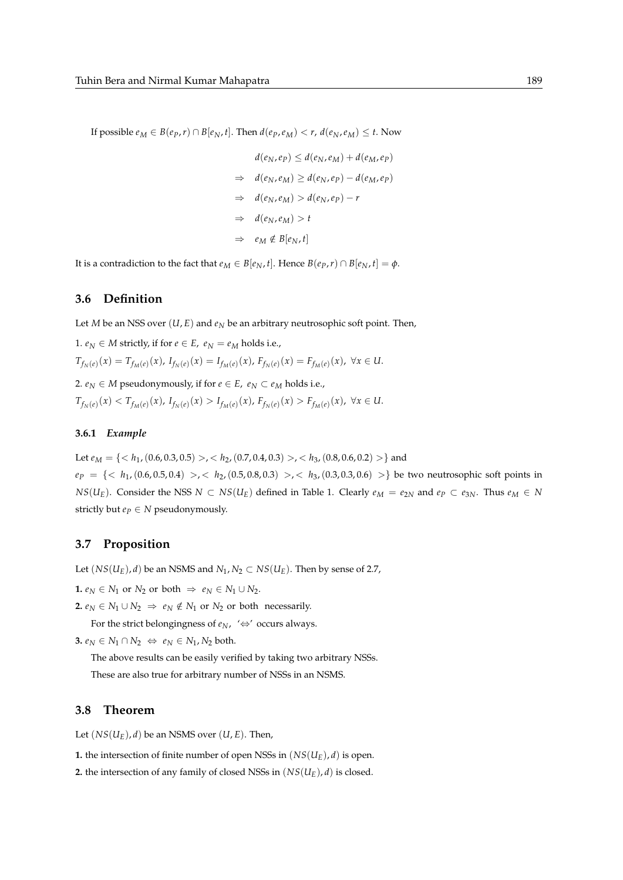If possible  $e_M \in B(e_P, r) \cap B[e_N, t]$ . Then  $d(e_P, e_M) < r$ ,  $d(e_N, e_M) \leq t$ . Now

$$
d(e_N, e_P) \le d(e_N, e_M) + d(e_M, e_P)
$$
  
\n
$$
\Rightarrow d(e_N, e_M) \ge d(e_N, e_P) - d(e_M, e_P)
$$
  
\n
$$
\Rightarrow d(e_N, e_M) > d(e_N, e_P) - r
$$
  
\n
$$
\Rightarrow d(e_N, e_M) > t
$$
  
\n
$$
\Rightarrow e_M \notin B[e_N, t]
$$

It is a contradiction to the fact that  $e_M \in B[e_N, t]$ . Hence  $B(e_P, r) \cap B[e_N, t] = \phi$ .

#### **3.6 Definition**

Let *M* be an NSS over  $(U, E)$  and  $e_N$  be an arbitrary neutrosophic soft point. Then,

1.  $e_N \in M$  strictly, if for  $e \in E$ ,  $e_N = e_M$  holds i.e.,  $T_{f_N(e)}(x) = T_{f_M(e)}(x)$ ,  $I_{f_N(e)}(x) = I_{f_M(e)}(x)$ ,  $F_{f_N(e)}(x) = F_{f_M(e)}(x)$ ,  $\forall x \in U$ . 2.  $e_N \in M$  pseudonymously, if for  $e \in E$ ,  $e_N \subset e_M$  holds i.e.,  $T_{f_N(e)}(x) < T_{f_M(e)}(x)$ ,  $I_{f_N(e)}(x) > I_{f_M(e)}(x)$ ,  $F_{f_N(e)}(x) > F_{f_M(e)}(x)$ ,  $\forall x \in U$ .

#### **3.6.1** *Example*

Let  $e_M = \{ , , \}$  and  $e_P = \{< h_1, (0.6, 0.5, 0.4)>, k_2, (0.5, 0.8, 0.3), k_3, (0.3, 0.3, 0.6) \right\}$  be two neutrosophic soft points in *NS*(*U<sub>E</sub>*). Consider the NSS *N* ⊂ *NS*(*U<sub>E</sub>*) defined in Table 1. Clearly  $e_M = e_{2N}$  and  $e_P \subset e_{3N}$ . Thus  $e_M \in N$ strictly but  $e_P \in N$  pseudonymously.

## **3.7 Proposition**

Let  $(NS(U_E), d)$  be an NSMS and  $N_1, N_2 \subset NS(U_E)$ . Then by sense of 2.7,

**1.**  $e_N$  ∈  $N_1$  or  $N_2$  or both  $\Rightarrow e_N$  ∈  $N_1$  ∪  $N_2$ .

**2.**  $e_N$  ∈  $N_1$  ∪  $N_2$   $\Rightarrow$   $e_N$  ∉  $N_1$  or  $N_2$  or both necessarily.

For the strict belongingness of  $e_N$ , ' $\Leftrightarrow$ ' occurs always.

**3.**  $e_N \in N_1 \cap N_2 \iff e_N \in N_1, N_2$  both.

The above results can be easily verified by taking two arbitrary NSSs. These are also true for arbitrary number of NSSs in an NSMS.

#### **3.8 Theorem**

Let  $(NS(U_E), d)$  be an NSMS over  $(U, E)$ . Then,

**1.** the intersection of finite number of open NSSs in  $(NS(U_E), d)$  is open.

**2.** the intersection of any family of closed NSSs in  $(NS(U_E), d)$  is closed.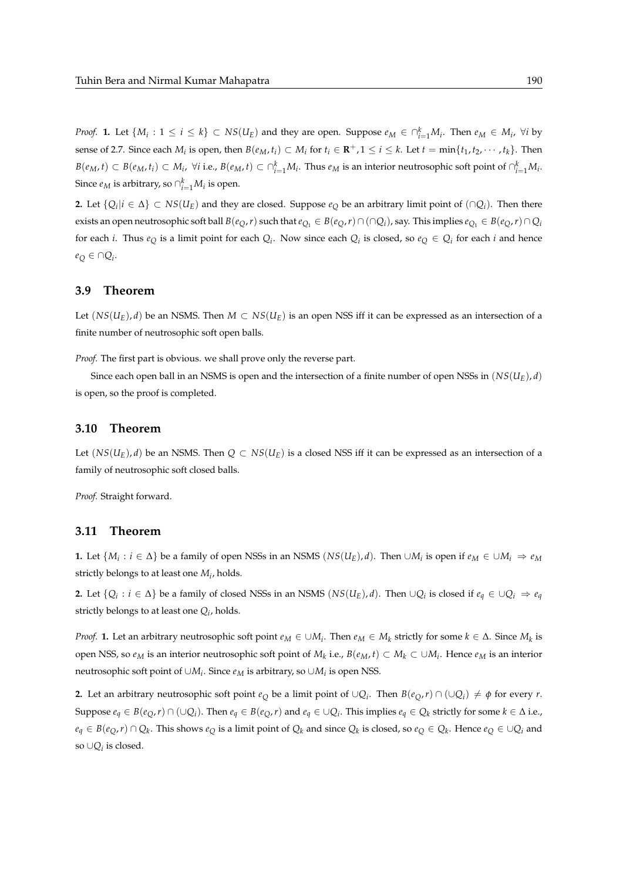*Proof.* 1. Let  $\{M_i: 1 \le i \le k\} \subset NS(U_E)$  and they are open. Suppose  $e_M \in \cap_{i=1}^k M_i$ . Then  $e_M \in M_i$ ,  $\forall i$  by sense of 2.7. Since each  $M_i$  is open, then  $B(e_M, t_i) \subset M_i$  for  $t_i \in \mathbf{R}^+, 1 \leq i \leq k$ . Let  $t = \min\{t_1, t_2, \cdots, t_k\}$ . Then  $B(e_M,t)\subset B(e_M,t_i)\subset M_i$ ,  $\forall i$  i.e.,  $B(e_M,t)\subset\cap_{i=1}^kM_i$ . Thus  $e_M$  is an interior neutrosophic soft point of  $\cap_{i=1}^kM_i$ . Since  $e_M$  is arbitrary, so  $\cap_{i=1}^k M_i$  is open.

**2.** Let  ${Q_i | i \in Δ}$  ⊂ *NS*(*U<sub>E</sub>*) and they are closed. Suppose  $e_Q$  be an arbitrary limit point of (∩*Qi*). Then there exists an open neutrosophic soft ball  $B(e_Q, r)$  such that  $e_{Q_1} \in B(e_Q, r) \cap (\cap Q_i)$ , say. This implies  $e_{Q_1} \in B(e_Q, r) \cap Q_i$ for each *i*. Thus  $e_Q$  is a limit point for each  $Q_i$ . Now since each  $Q_i$  is closed, so  $e_Q \in Q_i$  for each *i* and hence *e<sup>Q</sup>* ∈ ∩*Q<sup>i</sup>* .

## **3.9 Theorem**

Let  $(NS(U_E), d)$  be an NSMS. Then  $M \subset NS(U_E)$  is an open NSS iff it can be expressed as an intersection of a finite number of neutrosophic soft open balls.

*Proof.* The first part is obvious. we shall prove only the reverse part.

Since each open ball in an NSMS is open and the intersection of a finite number of open NSSs in  $(NS(U_E), d)$ is open, so the proof is completed.

### **3.10 Theorem**

Let  $(NS(U_F), d)$  be an NSMS. Then  $Q \subset NS(U_F)$  is a closed NSS iff it can be expressed as an intersection of a family of neutrosophic soft closed balls.

*Proof.* Straight forward.

#### **3.11 Theorem**

**1.** Let  $\{M_i : i \in \Delta\}$  be a family of open NSSs in an NSMS ( $NS(U_E)$ , *d*). Then ∪ $M_i$  is open if  $e_M \in \cup M_i \Rightarrow e_M$ strictly belongs to at least one *M<sup>i</sup>* , holds.

**2.** Let  $\{Q_i : i \in \Delta\}$  be a family of closed NSSs in an NSMS ( $NS(U_E)$ , *d*). Then ∪ $Q_i$  is closed if  $e_q \in \cup Q_i \Rightarrow e_q$ strictly belongs to at least one *Q<sup>i</sup>* , holds.

*Proof.* **1.** Let an arbitrary neutrosophic soft point  $e_M \in \cup M_i$ . Then  $e_M \in M_k$  strictly for some  $k \in \Delta$ . Since  $M_k$  is open NSS, so *e<sup>M</sup>* is an interior neutrosophic soft point of *M<sup>k</sup>* i.e., *B*(*eM*, *t*) ⊂ *M<sup>k</sup>* ⊂ ∪*M<sup>i</sup>* . Hence *e<sup>M</sup>* is an interior neutrosophic soft point of  $\cup M_i$ . Since  $e_M$  is arbitrary, so  $\cup M_i$  is open NSS.

**2.** Let an arbitrary neutrosophic soft point  $e_Q$  be a limit point of  $\cup Q_i$ . Then  $B(e_Q, r) \cap (\cup Q_i) \neq \emptyset$  for every *r*. Suppose  $e_q \in B(e_Q, r) \cap (\cup Q_i)$ . Then  $e_q \in B(e_Q, r)$  and  $e_q \in \cup Q_i$ . This implies  $e_q \in Q_k$  strictly for some  $k \in \Delta$  i.e.,  $e_q \in B(e_Q,r) \cap Q_k$ . This shows  $e_Q$  is a limit point of  $Q_k$  and since  $Q_k$  is closed, so  $e_Q \in Q_k$ . Hence  $e_Q \in \cup Q_i$  and so ∪*Q<sup>i</sup>* is closed.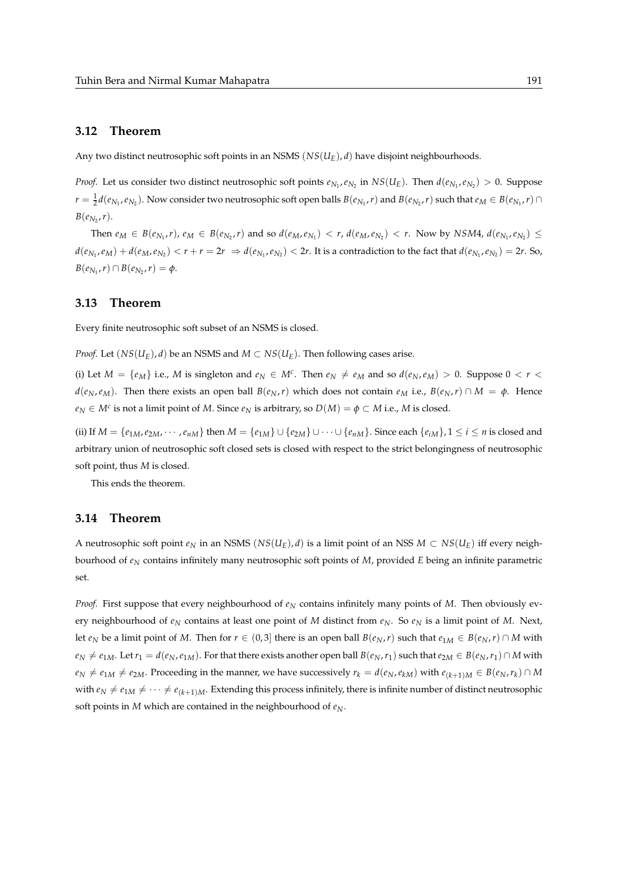## **3.12 Theorem**

Any two distinct neutrosophic soft points in an NSMS (*NS*(*UE*), *d*) have disjoint neighbourhoods.

*Proof.* Let us consider two distinct neutrosophic soft points  $e_{N_1}, e_{N_2}$  in  $NS(U_E)$ . Then  $d(e_{N_1}, e_{N_2}) > 0$ . Suppose  $r=\frac{1}{2}d(e_{N_1},e_{N_2})$ . Now consider two neutrosophic soft open balls  $B(e_{N_1},r)$  and  $B(e_{N_2},r)$  such that  $e_M\in B(e_{N_1},r)\cap S$  $B(e_{N_2}, r)$ .

Then  $e_M \in B(e_{N_1}, r)$ ,  $e_M \in B(e_{N_2}, r)$  and so  $d(e_M, e_{N_1}) < r$ ,  $d(e_M, e_{N_2}) < r$ . Now by NSM4,  $d(e_{N_1}, e_{N_2}) \le r$  $d(e_{N_1},e_M)+d(e_M,e_{N_2}) < r+r = 2r \ \Rightarrow d(e_{N_1},e_{N_2}) < 2r.$  It is a contradiction to the fact that  $d(e_{N_1},e_{N_2})=2r.$  So,  $B(e_{N_1}, r) \cap B(e_{N_2}, r) = \phi.$ 

#### **3.13 Theorem**

Every finite neutrosophic soft subset of an NSMS is closed.

*Proof.* Let  $(NS(U_F), d)$  be an NSMS and  $M \subset NS(U_F)$ . Then following cases arise.

(i) Let  $M = \{e_M\}$  i.e., M is singleton and  $e_N \in M^c$ . Then  $e_N \neq e_M$  and so  $d(e_N, e_M) > 0$ . Suppose  $0 < r <$  $d(e_N, e_M)$ . Then there exists an open ball  $B(e_N, r)$  which does not contain  $e_M$  i.e.,  $B(e_N, r) \cap M = \phi$ . Hence  $e_N \in M^c$  is not a limit point of *M*. Since  $e_N$  is arbitrary, so  $D(M) = \phi \subset M$  i.e., *M* is closed.

(ii) If  $M = \{e_{1M}, e_{2M}, \cdots, e_{nM}\}\$ then  $M = \{e_{1M}\}\cup\{e_{2M}\}\cup\cdots\cup\{e_{nM}\}\$ . Since each  $\{e_{iM}\}\$ ,  $1 \le i \le n$  is closed and arbitrary union of neutrosophic soft closed sets is closed with respect to the strict belongingness of neutrosophic soft point, thus *M* is closed.

This ends the theorem.

#### **3.14 Theorem**

A neutrosophic soft point  $e_N$  in an NSMS (*NS*(*U<sub>E</sub>*), *d*) is a limit point of an NSS *M* ⊂ *NS*(*U<sub>E</sub>*) iff every neighbourhood of *e<sup>N</sup>* contains infinitely many neutrosophic soft points of *M*, provided *E* being an infinite parametric set.

*Proof.* First suppose that every neighbourhood of  $e_N$  contains infinitely many points of *M*. Then obviously every neighbourhood of  $e_N$  contains at least one point of *M* distinct from  $e_N$ . So  $e_N$  is a limit point of *M*. Next, let  $e_N$  be a limit point of *M*. Then for  $r \in (0,3]$  there is an open ball  $B(e_N, r)$  such that  $e_{1M} \in B(e_N, r) \cap M$  with  $e_N \neq e_{1M}$ . Let  $r_1 = d(e_N, e_{1M})$ . For that there exists another open ball  $B(e_N, r_1)$  such that  $e_{2M} \in B(e_N, r_1) \cap M$  with  $e_N\neq e_{1M}\neq e_{2M}$ . Proceeding in the manner, we have successively  $r_k=d(e_N,e_{kM})$  with  $e_{(k+1)M}\in B(e_N,r_k)\cap M$ with  $e_N \neq e_{1M} \neq \cdots \neq e_{(k+1)M}$ . Extending this process infinitely, there is infinite number of distinct neutrosophic soft points in *M* which are contained in the neighbourhood of *eN*.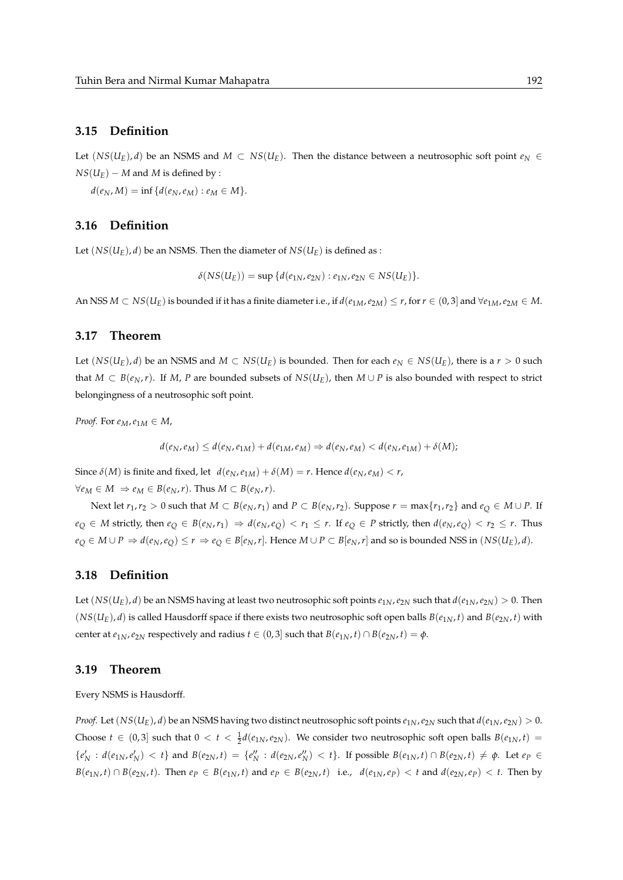## **3.15 Definition**

Let  $(NS(U<sub>E</sub>), d)$  be an NSMS and *M* ⊂ *NS*( $U<sub>E</sub>$ ). Then the distance between a neutrosophic soft point  $e<sub>N</sub>$  ∈  $NS(U_F) - M$  and *M* is defined by :

 $d(e_N, M) = \inf \{ d(e_N, e_M) : e_M \in M \}.$ 

#### **3.16 Definition**

Let  $(NS(U_F), d)$  be an NSMS. Then the diameter of  $NS(U_F)$  is defined as :

$$
\delta(NS(U_E)) = \sup \{d(e_{1N}, e_{2N}) : e_{1N}, e_{2N} \in NS(U_E)\}.
$$

An NSS  $M \subset NS(U_E)$  is bounded if it has a finite diameter i.e., if  $d(e_{1M}, e_{2M}) \le r$ , for  $r \in (0, 3]$  and  $\forall e_{1M}, e_{2M} \in M$ .

## **3.17 Theorem**

Let  $(NS(U_E), d)$  be an NSMS and  $M \subset NS(U_E)$  is bounded. Then for each  $e_N \in NS(U_E)$ , there is a  $r > 0$  such that *M* ⊂ *B*( $e_N$ ,*r*). If *M*, *P* are bounded subsets of *NS*( $U_E$ ), then *M* ∪ *P* is also bounded with respect to strict belongingness of a neutrosophic soft point.

*Proof.* For  $e_M$ ,  $e_{1M} \in M$ ,

$$
d(e_N, e_M) \leq d(e_N, e_{1M}) + d(e_{1M}, e_M) \Rightarrow d(e_N, e_M) < d(e_N, e_{1M}) + \delta(M);
$$

Since  $\delta(M)$  is finite and fixed, let  $d(e_N, e_{1M}) + \delta(M) = r$ . Hence  $d(e_N, e_M) < r$ ,  $∀e_M ∈ M ⇒ e_M ∈ B(e_N, r)$ . Thus  $M ⊂ B(e_N, r)$ .

Next let  $r_1,r_2>0$  such that  $M\subset B(e_N,r_1)$  and  $P\subset B(e_N,r_2)$ . Suppose  $r=\max\{r_1,r_2\}$  and  $e_Q\in M\cup P$ . If  $e_O \in M$  strictly, then  $e_O \in B(e_N, r_1) \Rightarrow d(e_N, e_O) < r_1 \leq r$ . If  $e_O \in P$  strictly, then  $d(e_N, e_O) < r_2 \leq r$ . Thus  $e_Q \in M \cup P \Rightarrow d(e_N, e_Q) \le r \Rightarrow e_Q \in B[e_N, r]$ . Hence  $M \cup P \subset B[e_N, r]$  and so is bounded NSS in  $(NS(U_E), d)$ .

#### **3.18 Definition**

Let  $(NS(U_E), d)$  be an NSMS having at least two neutrosophic soft points  $e_{1N}$ ,  $e_{2N}$  such that  $d(e_{1N}, e_{2N}) > 0$ . Then  $(NS(U_E), d)$  is called Hausdorff space if there exists two neutrosophic soft open balls  $B(e_{1N}, t)$  and  $B(e_{2N}, t)$  with center at  $e_{1N}$ ,  $e_{2N}$  respectively and radius  $t \in (0, 3]$  such that  $B(e_{1N}, t) \cap B(e_{2N}, t) = \phi$ .

#### **3.19 Theorem**

Every NSMS is Hausdorff.

*Proof.* Let  $(NS(U_E), d)$  be an NSMS having two distinct neutrosophic soft points  $e_{1N}$ ,  $e_{2N}$  such that  $d(e_{1N}, e_{2N}) > 0$ . Choose  $t \in (0,3]$  such that  $0 < t < \frac{1}{2}d(e_{1N},e_{2N})$ . We consider two neutrosophic soft open balls  $B(e_{1N},t)$  ${e'_N : d(e_{1N}, e'_N) < t}$  and  $B(e_{2N}, t) = {e''_N : d(e_{2N}, e''_N) < t}$ . If possible  $B(e_{1N}, t) \cap B(e_{2N}, t) \neq \emptyset$ . Let  $e_P \in$  $B(e_{1N}, t) \cap B(e_{2N}, t)$ . Then  $e_P \in B(e_{1N}, t)$  and  $e_P \in B(e_{2N}, t)$  i.e.,  $d(e_{1N}, e_P) < t$  and  $d(e_{2N}, e_P) < t$ . Then by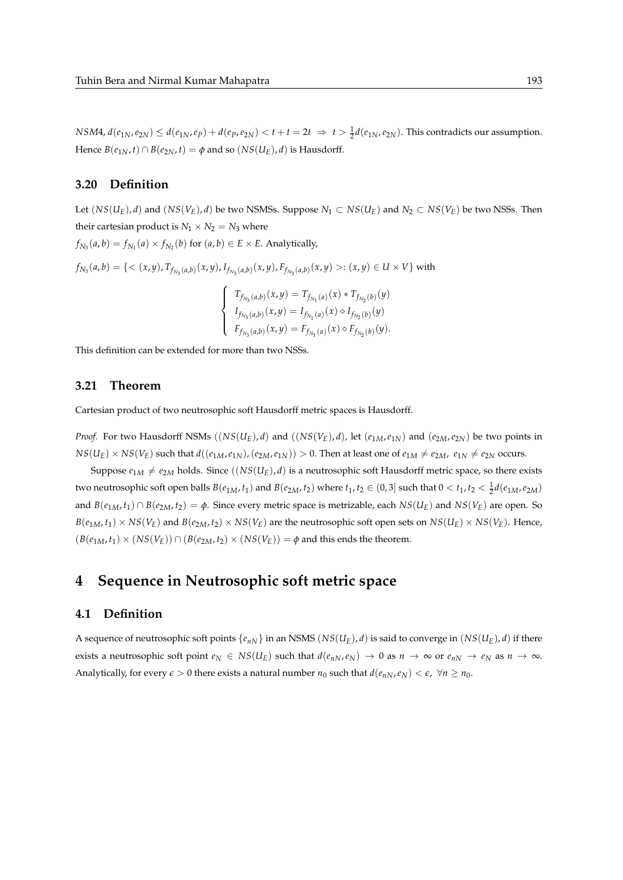NSM4,  $d(e_{1N}, e_{2N}) \leq d(e_{1N}, e_P) + d(e_P, e_{2N}) < t + t = 2t \Rightarrow t > \frac{1}{2}d(e_{1N}, e_{2N})$ . This contradicts our assumption. Hence  $B(e_{1N}, t) \cap B(e_{2N}, t) = \phi$  and so  $(NS(U_E), d)$  is Hausdorff.

#### **3.20 Definition**

Let  $(NS(U_E), d)$  and  $(NS(V_E), d)$  be two NSMSs. Suppose  $N_1 \subset NS(U_E)$  and  $N_2 \subset NS(V_E)$  be two NSSs. Then their cartesian product is  $N_1 \times N_2 = N_3$  where  $f_{N_3}(a,b) = f_{N_1}(a) \times f_{N_2}(b)$  for  $(a,b) \in E \times E$ . Analytically,  $f_{N_3}(a,b)=\{<(x,y),T_{f_{N_3}(a,b)}(x,y),I_{f_{N_3}(a,b)}(x,y),F_{f_{N_3}(a,b)}(x,y)>:(x,y)\in U\times V\}$  with  $\sqrt{ }$  $T_{f_{N_3}(a,b)}(x,y) = T_{f_{N_1}(a)}(x) * T_{f_{N_2}(b)}(y)$ 

$$
\begin{cases}\nI_{f_{N_3}(a,b)}(x,y) = I_{f_{N_1}(a)}(x) \diamond I_{f_{N_2}(b)}(y) \\
I_{f_{N_3}(a,b)}(x,y) = I_{f_{N_1}(a)}(x) \diamond I_{f_{N_2}(b)}(y) \\
F_{f_{N_3}(a,b)}(x,y) = F_{f_{N_1}(a)}(x) \diamond F_{f_{N_2}(b)}(y).\n\end{cases}
$$

This definition can be extended for more than two NSSs.

## **3.21 Theorem**

Cartesian product of two neutrosophic soft Hausdorff metric spaces is Hausdorff.

*Proof.* For two Hausdorff NSMs  $((NS(U_E), d)$  and  $((NS(V_E), d)$ , let  $(e_{1M}, e_{1N})$  and  $(e_{2M}, e_{2N})$  be two points in  $NS(U_F) \times NS(V_F)$  such that  $d((e_{1M}, e_{1N}), (e_{2M}, e_{1N})) > 0$ . Then at least one of  $e_{1M} \neq e_{2M}$ ,  $e_{1N} \neq e_{2N}$  occurs.

Suppose  $e_{1M} \neq e_{2M}$  holds. Since  $((NS(U_E), d)$  is a neutrosophic soft Hausdorff metric space, so there exists two neutrosophic soft open balls  $B(e_{1M}, t_1)$  and  $B(e_{2M}, t_2)$  where  $t_1, t_2 \in (0, 3]$  such that  $0 < t_1, t_2 < \frac{1}{2}d(e_{1M}, e_{2M})$ and  $B(e_{1M}, t_1) \cap B(e_{2M}, t_2) = \phi$ . Since every metric space is metrizable, each  $NS(U_E)$  and  $NS(V_E)$  are open. So  $B(e_{1M}, t_1) \times NS(V_F)$  and  $B(e_{2M}, t_2) \times NS(V_F)$  are the neutrosophic soft open sets on  $NS(U_F) \times NS(V_F)$ . Hence,  $(B(e_{1M}, t_1) \times (NS(V_E)) \cap (B(e_{2M}, t_2) \times (NS(V_E)) = \phi$  and this ends the theorem.

# **4 Sequence in Neutrosophic soft metric space**

# **4.1 Definition**

A sequence of neutrosophic soft points  $\{e_{nN}\}\$ in an NSMS  $(NS(U_F), d)$  is said to converge in  $(NS(U_F), d)$  if there exists a neutrosophic soft point  $e_N \in NS(U_E)$  such that  $d(e_{nN}, e_N) \to 0$  as  $n \to \infty$  or  $e_{nN} \to e_N$  as  $n \to \infty$ . Analytically, for every  $\epsilon > 0$  there exists a natural number  $n_0$  such that  $d(e_{nN}, e_N) < \epsilon$ ,  $\forall n \ge n_0$ .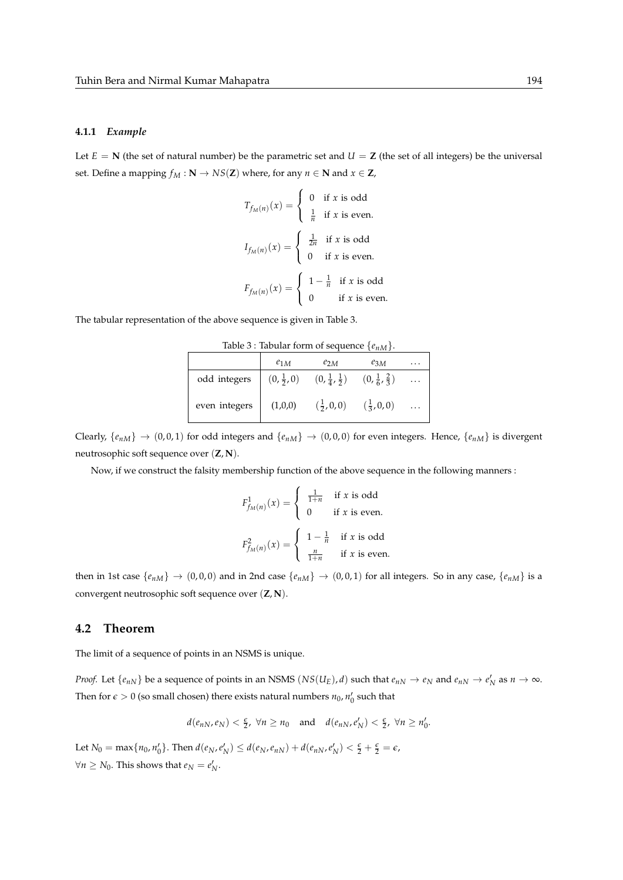#### **4.1.1** *Example*

Let  $E = N$  (the set of natural number) be the parametric set and  $U = Z$  (the set of all integers) be the universal set. Define a mapping  $f_M : \mathbf{N} \to NS(\mathbf{Z})$  where, for any  $n \in \mathbf{N}$  and  $x \in \mathbf{Z}$ ,

$$
T_{f_M(n)}(x) = \begin{cases} 0 & \text{if } x \text{ is odd} \\ \frac{1}{n} & \text{if } x \text{ is even.} \end{cases}
$$

$$
I_{f_M(n)}(x) = \begin{cases} \frac{1}{2n} & \text{if } x \text{ is odd} \\ 0 & \text{if } x \text{ is even.} \end{cases}
$$

$$
F_{f_M(n)}(x) = \begin{cases} 1 - \frac{1}{n} & \text{if } x \text{ is odd} \\ 0 & \text{if } x \text{ is even.} \end{cases}
$$

The tabular representation of the above sequence is given in Table 3.

|               | $e_{1M}$ | $e_{2M}$                                                                              | $e_{3M}$            |  |
|---------------|----------|---------------------------------------------------------------------------------------|---------------------|--|
| odd integers  |          | $(0, \frac{1}{2}, 0)$ $(0, \frac{1}{4}, \frac{1}{2})$ $(0, \frac{1}{6}, \frac{2}{3})$ |                     |  |
| even integers | (1,0,0)  | $(\frac{1}{2}, 0, 0)$                                                                 | $(\frac{1}{3},0,0)$ |  |

Clearly,  $\{e_{nM}\}\rightarrow (0,0,1)$  for odd integers and  $\{e_{nM}\}\rightarrow (0,0,0)$  for even integers. Hence,  $\{e_{nM}\}$  is divergent neutrosophic soft sequence over (**Z**, **N**).

Now, if we construct the falsity membership function of the above sequence in the following manners :

$$
F_{f_M(n)}^1(x) = \begin{cases} \frac{1}{1+n} & \text{if } x \text{ is odd} \\ 0 & \text{if } x \text{ is even.} \end{cases}
$$

$$
F_{f_M(n)}^2(x) = \begin{cases} 1 - \frac{1}{n} & \text{if } x \text{ is odd} \\ \frac{n}{1+n} & \text{if } x \text{ is even.} \end{cases}
$$

then in 1st case  $\{e_{nM}\}\rightarrow (0,0,0)$  and in 2nd case  $\{e_{nM}\}\rightarrow (0,0,1)$  for all integers. So in any case,  $\{e_{nM}\}$  is a convergent neutrosophic soft sequence over (**Z**, **N**).

### **4.2 Theorem**

The limit of a sequence of points in an NSMS is unique.

*Proof.* Let  $\{e_{nN}\}$  be a sequence of points in an NSMS  $(NS(U_E), d)$  such that  $e_{nN} \to e_N$  and  $e_{nN} \to e'_N$  as  $n \to \infty$ . Then for  $\epsilon > 0$  (so small chosen) there exists natural numbers  $n_0$ ,  $n'_0$  such that

$$
d(e_{nN}, e_N) < \frac{\epsilon}{2}
$$
,  $\forall n \ge n_0$  and  $d(e_{nN}, e'_N) < \frac{\epsilon}{2}$ ,  $\forall n \ge n'_0$ .

Let  $N_0 = \max\{n_0, n'_0\}$ . Then  $d(e_N, e'_N) \leq d(e_N, e_{nN}) + d(e_{nN}, e'_N) < \frac{\epsilon}{2} + \frac{\epsilon}{2} = \epsilon$ ,  $\forall n \geq N_0$ . This shows that  $e_N = e'_N$ .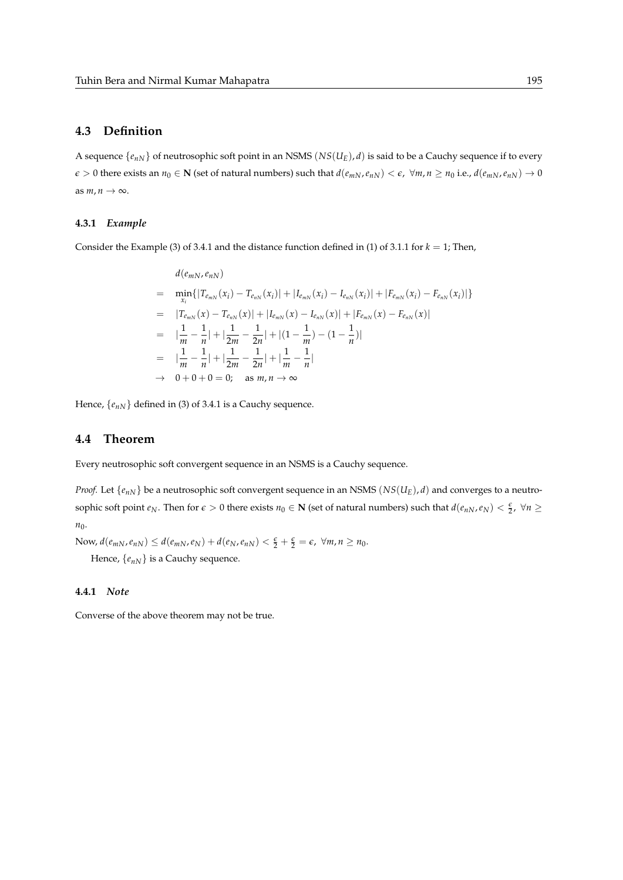# **4.3 Definition**

A sequence  $\{e_{nN}\}$  of neutrosophic soft point in an NSMS ( $NS(U_E)$ , *d*) is said to be a Cauchy sequence if to every  $\epsilon > 0$  there exists an  $n_0 \in \mathbb{N}$  (set of natural numbers) such that  $d(e_{mN}, e_{nN}) < \epsilon$ ,  $\forall m, n \ge n_0$  i.e.,  $d(e_{mN}, e_{nN}) \to 0$ as  $m, n \to \infty$ .

#### **4.3.1** *Example*

Consider the Example (3) of 3.4.1 and the distance function defined in (1) of 3.1.1 for  $k = 1$ ; Then,

$$
d(e_{mN}, e_{nN})
$$
\n
$$
= \min_{x_i} \{ |T_{e_{mN}}(x_i) - T_{e_{nN}}(x_i)| + |I_{e_{mN}}(x_i) - I_{e_{nN}}(x_i)| + |F_{e_{mN}}(x_i) - F_{e_{nN}}(x_i)| \}
$$
\n
$$
= |T_{e_{mN}}(x) - T_{e_{nN}}(x)| + |I_{e_{mN}}(x) - I_{e_{nN}}(x)| + |F_{e_{mN}}(x) - F_{e_{nN}}(x)|
$$
\n
$$
= |\frac{1}{m} - \frac{1}{n}| + |\frac{1}{2m} - \frac{1}{2n}| + |(1 - \frac{1}{m}) - (1 - \frac{1}{n})|
$$
\n
$$
= |\frac{1}{m} - \frac{1}{n}| + |\frac{1}{2m} - \frac{1}{2n}| + |\frac{1}{m} - \frac{1}{n}|
$$
\n
$$
\rightarrow 0 + 0 + 0 = 0; \text{ as } m, n \rightarrow \infty
$$

Hence,  $\{e_{nN}\}$  defined in (3) of 3.4.1 is a Cauchy sequence.

## **4.4 Theorem**

Every neutrosophic soft convergent sequence in an NSMS is a Cauchy sequence.

*Proof.* Let  $\{e_{nN}\}$  be a neutrosophic soft convergent sequence in an NSMS ( $NS(U_E)$ , *d*) and converges to a neutrosophic soft point  $e_N$ . Then for  $\epsilon > 0$  there exists  $n_0 \in \mathbb{N}$  (set of natural numbers) such that  $d(e_{nN}, e_N) < \frac{\epsilon}{2}$ ,  $\forall n \geq$ *n*0.

Now,  $d(e_{mN}, e_{nN}) \leq d(e_{mN}, e_N) + d(e_N, e_{nN}) < \frac{\epsilon}{2} + \frac{\epsilon}{2} = \epsilon$ ,  $\forall m, n \geq n_0$ .

Hence,  $\{e_{nN}\}\$ is a Cauchy sequence.

## **4.4.1** *Note*

Converse of the above theorem may not be true.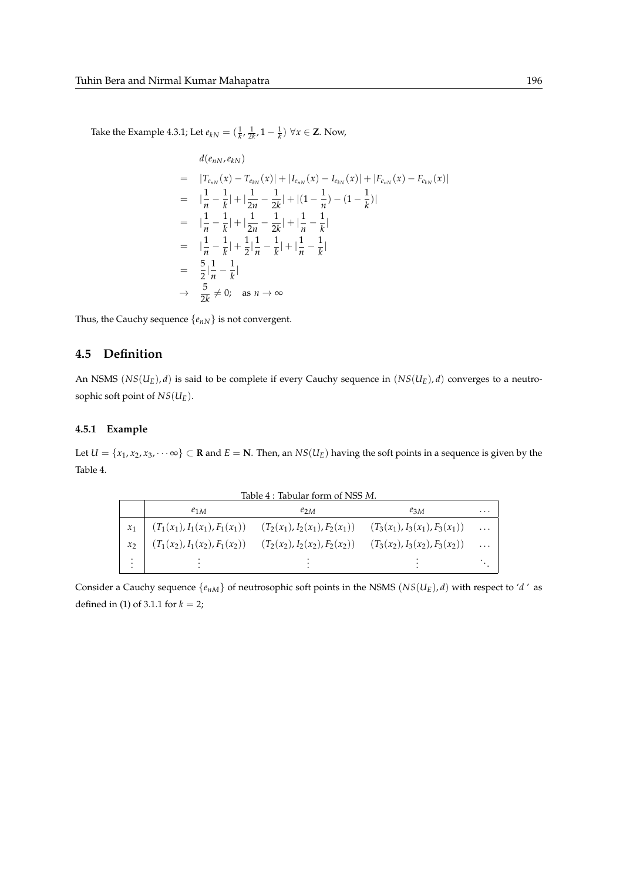Take the Example 4.3.1; Let  $e_{kN} = (\frac{1}{k}, \frac{1}{2k}, 1 - \frac{1}{k})$  ∀*x* ∈ **Z**. Now,

$$
d(e_{nN}, e_{kN})
$$
\n
$$
= |T_{e_{nN}}(x) - T_{e_{kN}}(x)| + |I_{e_{nN}}(x) - I_{e_{kN}}(x)| + |F_{e_{nN}}(x) - F_{e_{kN}}(x)|
$$
\n
$$
= |\frac{1}{n} - \frac{1}{k}| + |\frac{1}{2n} - \frac{1}{2k}| + |(1 - \frac{1}{n}) - (1 - \frac{1}{k})|
$$
\n
$$
= |\frac{1}{n} - \frac{1}{k}| + |\frac{1}{2n} - \frac{1}{2k}| + |\frac{1}{n} - \frac{1}{k}|
$$
\n
$$
= |\frac{1}{n} - \frac{1}{k}| + \frac{1}{2}|\frac{1}{n} - \frac{1}{k}| + |\frac{1}{n} - \frac{1}{k}|
$$
\n
$$
= \frac{5}{2}|\frac{1}{n} - \frac{1}{k}|
$$
\n
$$
\rightarrow \frac{5}{2k} \neq 0; \text{ as } n \rightarrow \infty
$$

Thus, the Cauchy sequence  $\{e_{nN}\}$  is not convergent.

# **4.5 Definition**

An NSMS (*NS*(*UE*), *d*) is said to be complete if every Cauchy sequence in (*NS*(*UE*), *d*) converges to a neutrosophic soft point of *NS*(*UE*).

## **4.5.1 Example**

Let  $U = \{x_1, x_2, x_3, \dots \infty\} \subset \mathbf{R}$  and  $E = \mathbf{N}$ . Then, an  $NS(U_E)$  having the soft points in a sequence is given by the Table 4.

| Table 4 : Tabular form of NSS M. |          |                                                                                                    |          |          |  |
|----------------------------------|----------|----------------------------------------------------------------------------------------------------|----------|----------|--|
|                                  | $e_{1M}$ | $e_{2M}$                                                                                           | $e_{3M}$ | $\cdots$ |  |
|                                  |          | $(T_1(x_1), I_1(x_1), F_1(x_1))$ $(T_2(x_1), I_2(x_1), F_2(x_1))$ $(T_3(x_1), I_3(x_1), F_3(x_1))$ |          | $\ldots$ |  |
| $x_2$                            |          | $(T_1(x_2), I_1(x_2), F_1(x_2))$ $(T_2(x_2), I_2(x_2), F_2(x_2))$ $(T_3(x_2), I_3(x_2), F_3(x_2))$ |          | $\ldots$ |  |
| ÷                                |          |                                                                                                    |          |          |  |

Consider a Cauchy sequence  $\{e_{nM}\}$  of neutrosophic soft points in the NSMS  $(NS(U_E), d)$  with respect to '*d*' as defined in (1) of 3.1.1 for  $k = 2$ ;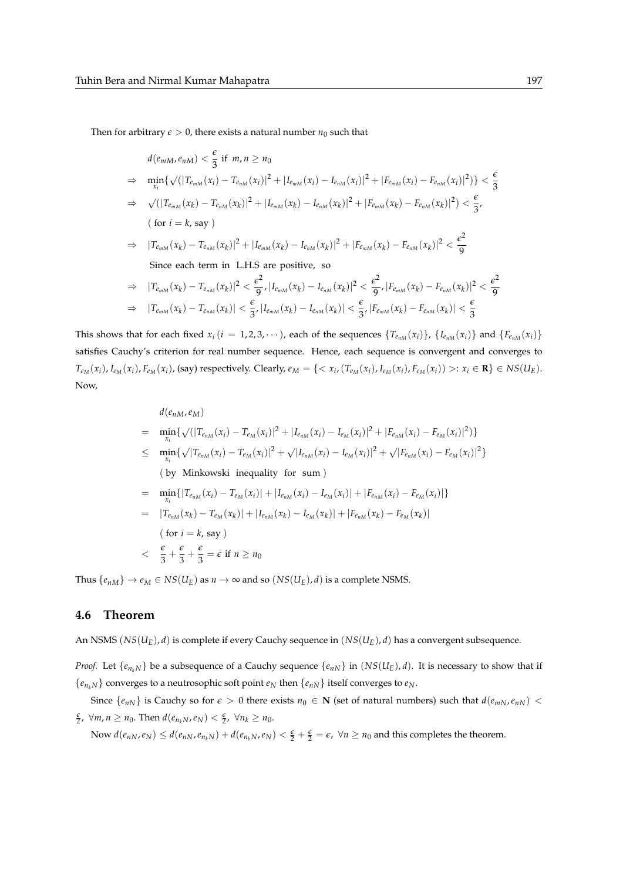Then for arbitrary  $\epsilon > 0$ , there exists a natural number  $n_0$  such that

$$
d(e_{mM}, e_{nM}) < \frac{\epsilon}{3} \text{ if } m, n \ge n_0
$$
  
\n
$$
\Rightarrow \min_{x_i} \{ \sqrt{(|T_{e_{mM}}(x_i) - T_{e_{nM}}(x_i)|^2 + |I_{e_{mM}}(x_i) - I_{e_{nM}}(x_i)|^2 + |F_{e_{mM}}(x_i) - F_{e_{nM}}(x_i)|^2) } \} < \frac{\epsilon}{3}
$$
  
\n
$$
\Rightarrow \sqrt{(|T_{e_{mM}}(x_k) - T_{e_{nM}}(x_k)|^2 + |I_{e_{mM}}(x_k) - I_{e_{nM}}(x_k)|^2 + |F_{e_{mM}}(x_k) - F_{e_{nM}}(x_k)|^2) } < \frac{\epsilon}{3},
$$
  
\n(for  $i = k$ , say )  
\n
$$
\Rightarrow |T_{e_{mM}}(x_k) - T_{e_{nM}}(x_k)|^2 + |I_{e_{mM}}(x_k) - I_{e_{nM}}(x_k)|^2 + |F_{e_{mM}}(x_k) - F_{e_{nM}}(x_k)|^2 < \frac{\epsilon^2}{9}
$$
  
\nSince each term in L.H.S are positive, so  
\n
$$
\Rightarrow |T_{e_{mM}}(x_k) - T_{e_{nM}}(x_k)|^2 < \frac{\epsilon^2}{9}, |I_{e_{mM}}(x_k) - I_{e_{nM}}(x_k)|^2 < \frac{\epsilon^2}{9}, |F_{e_{mM}}(x_k) - F_{e_{nM}}(x_k)|^2 < \frac{\epsilon^2}{9}
$$
  
\n
$$
\Rightarrow |T_{e_{mM}}(x_k) - T_{e_{nM}}(x_k)| < \frac{\epsilon}{3}, |I_{e_{mM}}(x_k) - I_{e_{nM}}(x_k)| < \frac{\epsilon}{3}, |F_{e_{mM}}(x_k) - F_{e_{nM}}(x_k)| < \frac{\epsilon}{3}
$$

This shows that for each fixed  $x_i$  ( $i = 1, 2, 3, \cdots$ ), each of the sequences  $\{T_{e_{nM}}(x_i)\}$ ,  $\{I_{e_{nM}}(x_i)\}$  and  $\{F_{e_{nM}}(x_i)\}$ satisfies Cauchy's criterion for real number sequence. Hence, each sequence is convergent and converges to  $T_{e_M}(x_i)$ ,  $I_{e_M}(x_i)$ ,  $F_{e_M}(x_i)$ , (say) respectively. Clearly,  $e_M = \{< x_i$ ,  $(T_{e_M}(x_i)$ ,  $I_{e_M}(x_i)$ ,  $F_{e_M}(x_i)) >: x_i \in \mathbf{R}\} \in NS(U_E)$ . Now,

$$
d(e_{nM}, e_M)
$$
\n
$$
= \min_{x_i} \{ \sqrt{(|T_{e_{nM}}(x_i) - T_{e_M}(x_i)|^2 + |I_{e_{nM}}(x_i) - I_{e_M}(x_i)|^2 + |F_{e_{nM}}(x_i) - F_{e_M}(x_i)|^2} \}
$$
\n
$$
\leq \min_{x_i} \{ \sqrt{|T_{e_{nM}}(x_i) - T_{e_M}(x_i)|^2 + \sqrt{|I_{e_{nM}}(x_i) - I_{e_M}(x_i)|^2 + \sqrt{|F_{e_{nM}}(x_i) - F_{e_M}(x_i)|^2}} \}
$$
\n(by Minkowski inequality for sum)

\n
$$
= \min_{x_i} \{ |T_{e_{nM}}(x_i) - T_{e_M}(x_i)| + |I_{e_{nM}}(x_i) - I_{e_M}(x_i)| + |F_{e_{nM}}(x_i) - F_{e_M}(x_i)| \}
$$
\n
$$
= |T_{e_{nM}}(x_k) - T_{e_M}(x_k)| + |I_{e_{nM}}(x_k) - I_{e_M}(x_k)| + |F_{e_{nM}}(x_k) - F_{e_M}(x_k)|
$$
\n(for  $i = k$ , say)

\n
$$
= \frac{\epsilon}{3} + \frac{\epsilon}{3} + \frac{\epsilon}{3} = \epsilon \text{ if } n \ge n_0
$$

Thus  $\{e_{nM}\}\rightarrow e_M \in NS(U_E)$  as  $n \rightarrow \infty$  and so  $(NS(U_E), d)$  is a complete NSMS.

### **4.6 Theorem**

An NSMS (*NS*(*UE*), *d*) is complete if every Cauchy sequence in (*NS*(*UE*), *d*) has a convergent subsequence.

*Proof.* Let  $\{e_{n_k}$  $N\}$  be a subsequence of a Cauchy sequence  $\{e_{n}$  $N\}$  in  $(NS(U_E), d)$ . It is necessary to show that if  ${e_{n_kN}}$  converges to a neutrosophic soft point  $e_N$  then  ${e_{nN}}$  itself converges to  $e_N$ .

Since  $\{e_{nN}\}\$ is Cauchy so for  $\epsilon > 0$  there exists  $n_0 \in \mathbb{N}$  (set of natural numbers) such that  $d(e_{mN}, e_{nN}) <$  $\frac{\epsilon}{2}$ ,  $\forall m, n \ge n_0$ . Then  $d(e_{n_kN}, e_N) < \frac{\epsilon}{2}$ ,  $\forall n_k \ge n_0$ .

Now  $d(e_{nN}, e_N) \leq d(e_{nN}, e_{n_kN}) + d(e_{n_kN}, e_N) < \frac{\epsilon}{2} + \frac{\epsilon}{2} = \epsilon$ ,  $\forall n \geq n_0$  and this completes the theorem.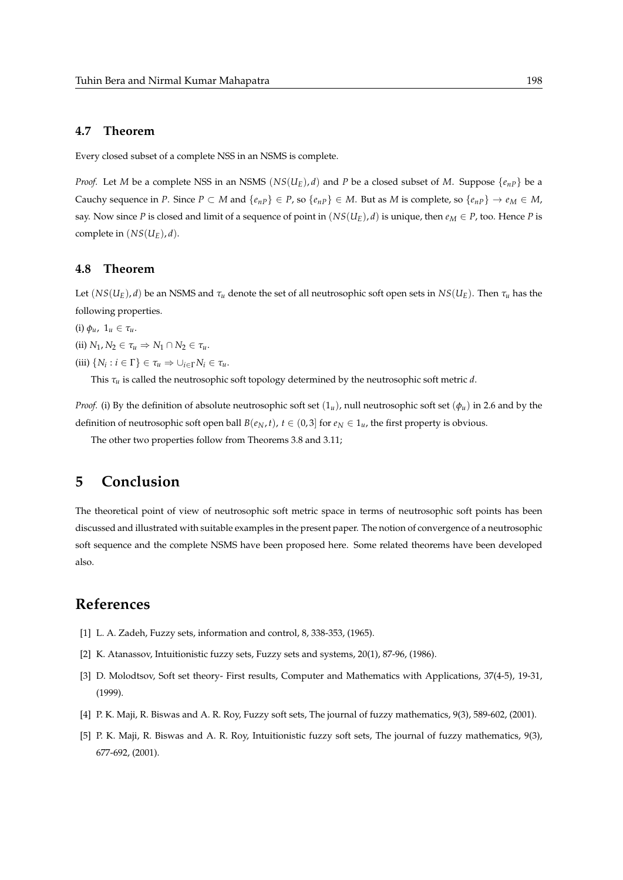## **4.7 Theorem**

Every closed subset of a complete NSS in an NSMS is complete.

*Proof.* Let *M* be a complete NSS in an NSMS ( $NS(U_F)$ , *d*) and *P* be a closed subset of *M*. Suppose  $\{e_{nP}\}$  be a Cauchy sequence in *P*. Since  $P \subset M$  and  $\{e_{nP}\} \in P$ , so  $\{e_{nP}\} \in M$ . But as *M* is complete, so  $\{e_{nP}\} \to e_M \in M$ , say. Now since *P* is closed and limit of a sequence of point in  $(NS(U_E), d)$  is unique, then  $e_M \in P$ , too. Hence *P* is complete in  $(NS(U_E), d)$ .

## **4.8 Theorem**

Let  $(NS(U_E), d)$  be an NSMS and  $\tau_u$  denote the set of all neutrosophic soft open sets in  $NS(U_E)$ . Then  $\tau_u$  has the following properties.

(i)  $\phi_u$ ,  $1_u \in \tau_u$ .

 $(iii) N_1, N_2 \in \tau_u \Rightarrow N_1 \cap N_2 \in \tau_u$ .

 $(iii)$   $\{N_i : i \in \Gamma\} \in \tau_u \Rightarrow \cup_{i \in \Gamma} N_i \in \tau_u$ .

This *τu* is called the neutrosophic soft topology determined by the neutrosophic soft metric *d*.

*Proof.* (i) By the definition of absolute neutrosophic soft set  $(1_u)$ , null neutrosophic soft set  $(\phi_u)$  in 2.6 and by the definition of neutrosophic soft open ball  $B(e_N, t)$ ,  $t \in (0, 3]$  for  $e_N \in 1_u$ , the first property is obvious.

The other two properties follow from Theorems 3.8 and 3.11;

# **5 Conclusion**

The theoretical point of view of neutrosophic soft metric space in terms of neutrosophic soft points has been discussed and illustrated with suitable examples in the present paper. The notion of convergence of a neutrosophic soft sequence and the complete NSMS have been proposed here. Some related theorems have been developed also.

# **References**

- [1] L. A. Zadeh, Fuzzy sets, information and control, 8, 338-353, (1965).
- [2] K. Atanassov, Intuitionistic fuzzy sets, Fuzzy sets and systems, 20(1), 87-96, (1986).
- [3] D. Molodtsov, Soft set theory- First results, Computer and Mathematics with Applications, 37(4-5), 19-31, (1999).
- [4] P. K. Maji, R. Biswas and A. R. Roy, Fuzzy soft sets, The journal of fuzzy mathematics, 9(3), 589-602, (2001).
- [5] P. K. Maji, R. Biswas and A. R. Roy, Intuitionistic fuzzy soft sets, The journal of fuzzy mathematics, 9(3), 677-692, (2001).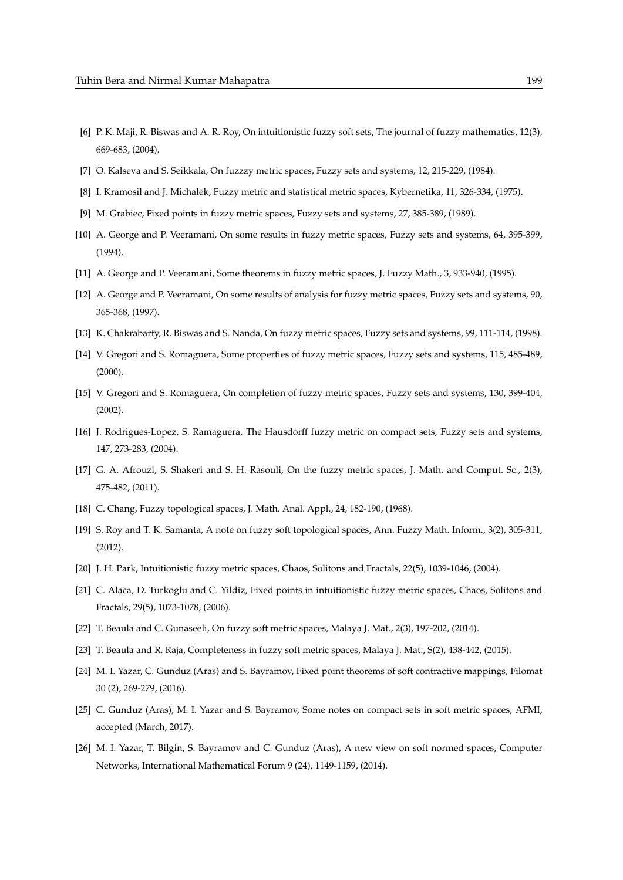- [6] P. K. Maji, R. Biswas and A. R. Roy, On intuitionistic fuzzy soft sets, The journal of fuzzy mathematics, 12(3), 669-683, (2004).
- [7] O. Kalseva and S. Seikkala, On fuzzzy metric spaces, Fuzzy sets and systems, 12, 215-229, (1984).
- [8] I. Kramosil and J. Michalek, Fuzzy metric and statistical metric spaces, Kybernetika, 11, 326-334, (1975).
- [9] M. Grabiec, Fixed points in fuzzy metric spaces, Fuzzy sets and systems, 27, 385-389, (1989).
- [10] A. George and P. Veeramani, On some results in fuzzy metric spaces, Fuzzy sets and systems, 64, 395-399, (1994).
- [11] A. George and P. Veeramani, Some theorems in fuzzy metric spaces, J. Fuzzy Math., 3, 933-940, (1995).
- [12] A. George and P. Veeramani, On some results of analysis for fuzzy metric spaces, Fuzzy sets and systems, 90, 365-368, (1997).
- [13] K. Chakrabarty, R. Biswas and S. Nanda, On fuzzy metric spaces, Fuzzy sets and systems, 99, 111-114, (1998).
- [14] V. Gregori and S. Romaguera, Some properties of fuzzy metric spaces, Fuzzy sets and systems, 115, 485-489, (2000).
- [15] V. Gregori and S. Romaguera, On completion of fuzzy metric spaces, Fuzzy sets and systems, 130, 399-404, (2002).
- [16] J. Rodrigues-Lopez, S. Ramaguera, The Hausdorff fuzzy metric on compact sets, Fuzzy sets and systems, 147, 273-283, (2004).
- [17] G. A. Afrouzi, S. Shakeri and S. H. Rasouli, On the fuzzy metric spaces, J. Math. and Comput. Sc., 2(3), 475-482, (2011).
- [18] C. Chang, Fuzzy topological spaces, J. Math. Anal. Appl., 24, 182-190, (1968).
- [19] S. Roy and T. K. Samanta, A note on fuzzy soft topological spaces, Ann. Fuzzy Math. Inform., 3(2), 305-311, (2012).
- [20] J. H. Park, Intuitionistic fuzzy metric spaces, Chaos, Solitons and Fractals, 22(5), 1039-1046, (2004).
- [21] C. Alaca, D. Turkoglu and C. Yildiz, Fixed points in intuitionistic fuzzy metric spaces, Chaos, Solitons and Fractals, 29(5), 1073-1078, (2006).
- [22] T. Beaula and C. Gunaseeli, On fuzzy soft metric spaces, Malaya J. Mat., 2(3), 197-202, (2014).
- [23] T. Beaula and R. Raja, Completeness in fuzzy soft metric spaces, Malaya J. Mat., S(2), 438-442, (2015).
- [24] M. I. Yazar, C. Gunduz (Aras) and S. Bayramov, Fixed point theorems of soft contractive mappings, Filomat 30 (2), 269-279, (2016).
- [25] C. Gunduz (Aras), M. I. Yazar and S. Bayramov, Some notes on compact sets in soft metric spaces, AFMI, accepted (March, 2017).
- [26] M. I. Yazar, T. Bilgin, S. Bayramov and C. Gunduz (Aras), A new view on soft normed spaces, Computer Networks, International Mathematical Forum 9 (24), 1149-1159, (2014).